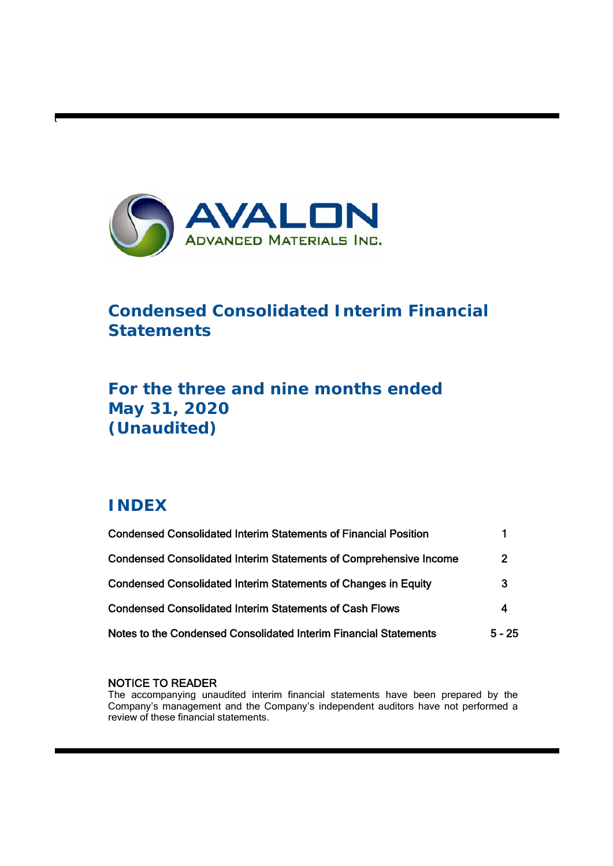

# **Condensed Consolidated Interim Financial Statements**

# **For the three and nine months ended May 31, 2020 (Unaudited)**

# **INDEX**

t

| <b>Condensed Consolidated Interim Statements of Financial Position</b>   |              |  |
|--------------------------------------------------------------------------|--------------|--|
| <b>Condensed Consolidated Interim Statements of Comprehensive Income</b> | $\mathbf{2}$ |  |
| <b>Condensed Consolidated Interim Statements of Changes in Equity</b>    | 3            |  |
| <b>Condensed Consolidated Interim Statements of Cash Flows</b>           | 4            |  |
| Notes to the Condensed Consolidated Interim Financial Statements         | $5 - 25$     |  |

## NOTICE TO READER

The accompanying unaudited interim financial statements have been prepared by the Company's management and the Company's independent auditors have not performed a review of these financial statements.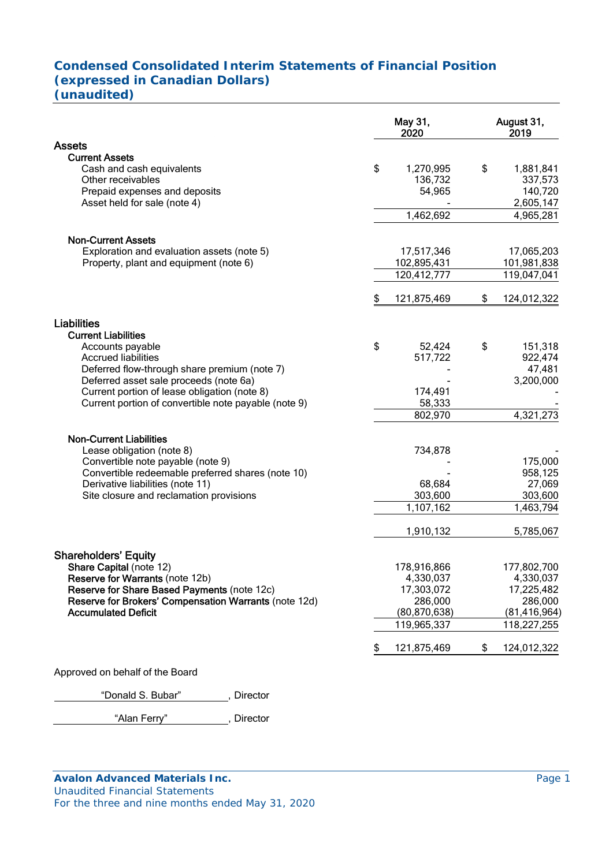## **Condensed Consolidated Interim Statements of Financial Position (expressed in Canadian Dollars) (unaudited)**

|                                                                                                                                          | May 31,<br>2020                          | August 31,<br>2019                                 |
|------------------------------------------------------------------------------------------------------------------------------------------|------------------------------------------|----------------------------------------------------|
| <b>Assets</b>                                                                                                                            |                                          |                                                    |
| <b>Current Assets</b><br>Cash and cash equivalents<br>Other receivables<br>Prepaid expenses and deposits<br>Asset held for sale (note 4) | \$<br>1,270,995<br>136,732<br>54,965     | \$<br>1,881,841<br>337,573<br>140,720<br>2,605,147 |
|                                                                                                                                          | 1,462,692                                | 4,965,281                                          |
| <b>Non-Current Assets</b><br>Exploration and evaluation assets (note 5)<br>Property, plant and equipment (note 6)                        | 17,517,346<br>102,895,431<br>120,412,777 | 17,065,203<br>101,981,838<br>119,047,041           |
|                                                                                                                                          | 121,875,469                              | \$<br>124,012,322                                  |
| <b>Liabilities</b><br><b>Current Liabilities</b>                                                                                         | \$<br>52,424                             | \$<br>151,318                                      |
| Accounts payable<br><b>Accrued liabilities</b>                                                                                           | 517,722                                  | 922,474                                            |
| Deferred flow-through share premium (note 7)                                                                                             |                                          | 47,481                                             |
| Deferred asset sale proceeds (note 6a)                                                                                                   |                                          | 3,200,000                                          |
| Current portion of lease obligation (note 8)<br>Current portion of convertible note payable (note 9)                                     | 174,491<br>58,333                        |                                                    |
|                                                                                                                                          | 802,970                                  | 4,321,273                                          |
| <b>Non-Current Liabilities</b>                                                                                                           |                                          |                                                    |
| Lease obligation (note 8)                                                                                                                | 734,878                                  |                                                    |
| Convertible note payable (note 9)                                                                                                        |                                          | 175,000                                            |
| Convertible redeemable preferred shares (note 10)                                                                                        |                                          | 958,125                                            |
| Derivative liabilities (note 11)<br>Site closure and reclamation provisions                                                              | 68,684<br>303,600                        | 27,069<br>303,600                                  |
|                                                                                                                                          | $\overline{1,}107,162$                   | 1,463,794                                          |
|                                                                                                                                          | 1,910,132                                | 5,785,067                                          |
|                                                                                                                                          |                                          |                                                    |
| <b>Shareholders' Equity</b><br>Share Capital (note 12)                                                                                   | 178,916,866                              | 177,802,700                                        |
| <b>Reserve for Warrants (note 12b)</b>                                                                                                   | 4,330,037                                | 4,330,037                                          |
| Reserve for Share Based Payments (note 12c)                                                                                              | 17,303,072                               | 17,225,482                                         |
| Reserve for Brokers' Compensation Warrants (note 12d)                                                                                    | 286,000                                  | 286,000                                            |
| <b>Accumulated Deficit</b>                                                                                                               | (80, 870, 638)<br>119,965,337            | (81, 416, 964)<br>118,227,255                      |
|                                                                                                                                          |                                          |                                                    |
|                                                                                                                                          | 121,875,469                              | \$<br>124,012,322                                  |
| Approved on behalf of the Board                                                                                                          |                                          |                                                    |
|                                                                                                                                          |                                          |                                                    |

"Donald S. Bubar", Director

"Alan Ferry" , Director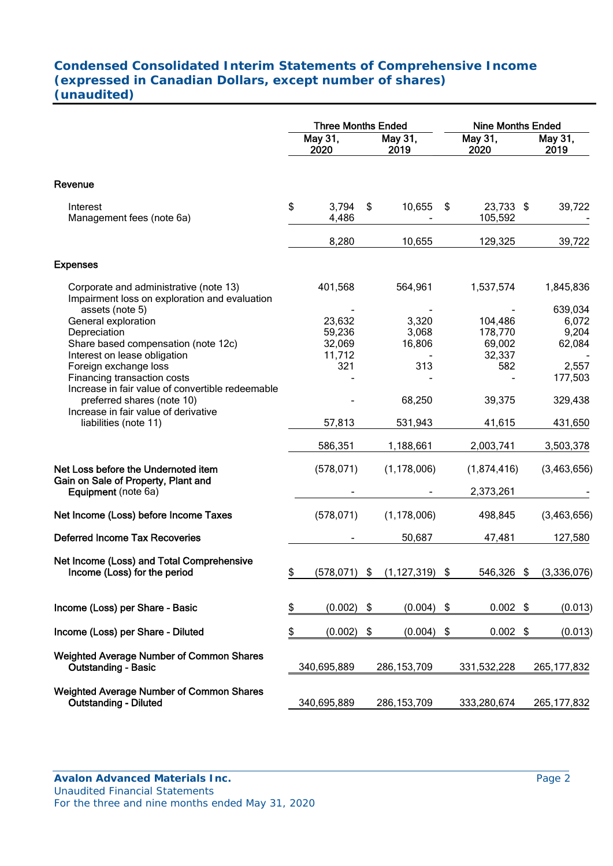# **Condensed Consolidated Interim Statements of Comprehensive Income (expressed in Canadian Dollars, except number of shares) (unaudited)**

|                                                                                                                                          |    | <b>Three Months Ended</b>            |                                 | <b>Nine Months Ended</b>               |    |                                     |
|------------------------------------------------------------------------------------------------------------------------------------------|----|--------------------------------------|---------------------------------|----------------------------------------|----|-------------------------------------|
|                                                                                                                                          |    | May 31,<br>2020                      | May 31,<br>2019                 | May 31,<br>2020                        |    | May 31,<br>2019                     |
| Revenue                                                                                                                                  |    |                                      |                                 |                                        |    |                                     |
| Interest<br>Management fees (note 6a)                                                                                                    | \$ | 3,794<br>4,486                       | \$<br>10,655                    | \$<br>23,733 \$<br>105,592             |    | 39,722                              |
|                                                                                                                                          |    | 8,280                                | 10,655                          | 129,325                                |    | 39,722                              |
| <b>Expenses</b>                                                                                                                          |    |                                      |                                 |                                        |    |                                     |
| Corporate and administrative (note 13)<br>Impairment loss on exploration and evaluation                                                  |    | 401,568                              | 564,961                         | 1,537,574                              |    | 1,845,836                           |
| assets (note 5)<br>General exploration<br>Depreciation<br>Share based compensation (note 12c)                                            |    | 23,632<br>59,236<br>32,069<br>11,712 | 3,320<br>3,068<br>16,806        | 104,486<br>178,770<br>69,002<br>32,337 |    | 639,034<br>6,072<br>9,204<br>62,084 |
| Interest on lease obligation<br>Foreign exchange loss<br>Financing transaction costs<br>Increase in fair value of convertible redeemable |    | 321                                  | 313                             | 582                                    |    | 2,557<br>177,503                    |
| preferred shares (note 10)<br>Increase in fair value of derivative                                                                       |    |                                      | 68,250                          | 39,375                                 |    | 329,438                             |
| liabilities (note 11)                                                                                                                    |    | 57,813                               | 531,943                         | 41,615                                 |    | 431,650                             |
|                                                                                                                                          |    | 586,351                              | 1,188,661                       | 2,003,741                              |    | 3,503,378                           |
| Net Loss before the Undernoted item<br>Gain on Sale of Property, Plant and<br>Equipment (note 6a)                                        |    | (578, 071)                           | (1, 178, 006)                   | (1,874,416)<br>2,373,261               |    | (3,463,656)                         |
| Net Income (Loss) before Income Taxes                                                                                                    |    | (578, 071)                           | (1, 178, 006)                   | 498,845                                |    | (3,463,656)                         |
| <b>Deferred Income Tax Recoveries</b>                                                                                                    |    |                                      | 50,687                          | 47,481                                 |    | 127,580                             |
| Net Income (Loss) and Total Comprehensive<br>Income (Loss) for the period                                                                | ፍ  |                                      | $(578,071)$ \$ $(1,127,319)$ \$ | 546,326                                | \$ | (3,336,076)                         |
| Income (Loss) per Share - Basic                                                                                                          | \$ | (0.002)                              | \$<br>(0.004)                   | \$<br>$0.002$ \$                       |    | (0.013)                             |
| Income (Loss) per Share - Diluted                                                                                                        | \$ | (0.002)                              | \$<br>(0.004)                   | \$<br>$0.002$ \$                       |    | (0.013)                             |
| <b>Weighted Average Number of Common Shares</b><br><b>Outstanding - Basic</b>                                                            |    | 340,695,889                          | 286, 153, 709                   | 331,532,228                            |    | 265, 177, 832                       |
| <b>Weighted Average Number of Common Shares</b><br><b>Outstanding - Diluted</b>                                                          |    | 340,695,889                          | 286, 153, 709                   | 333,280,674                            |    | 265, 177, 832                       |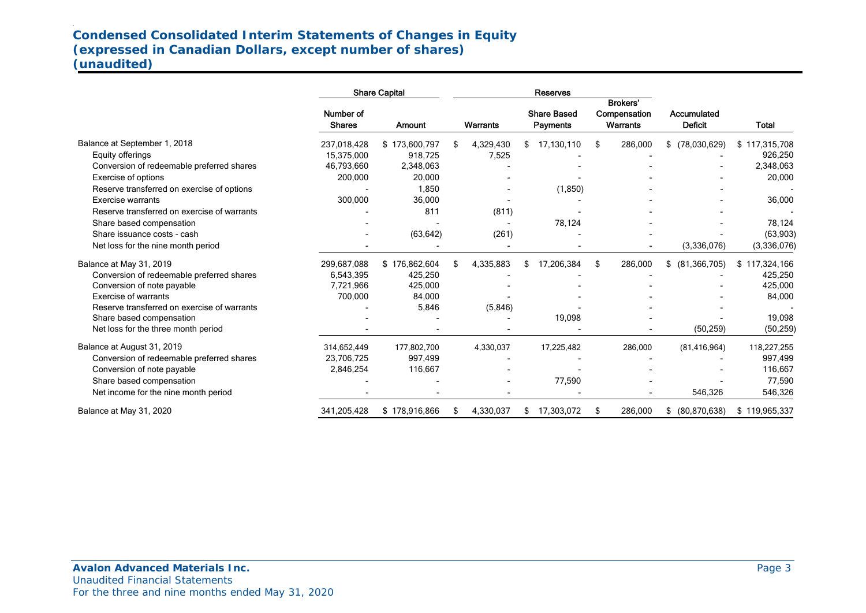# **Condensed Consolidated Interim Statements of Changes in Equity (expressed in Canadian Dollars, except number of shares) (unaudited)**

|                                             | <b>Share Capital</b>       |               |           | <b>Reserves</b> |                                |                                             |                               |               |
|---------------------------------------------|----------------------------|---------------|-----------|-----------------|--------------------------------|---------------------------------------------|-------------------------------|---------------|
|                                             | Number of<br><b>Shares</b> | Amount        | Warrants  |                 | <b>Share Based</b><br>Payments | <b>Brokers'</b><br>Compensation<br>Warrants | Accumulated<br><b>Deficit</b> | <b>Total</b>  |
| Balance at September 1, 2018                | 237,018,428                | \$173,600,797 | 4,329,430 | \$              | 17,130,110                     | \$<br>286,000                               | (78,030,629)<br>\$            | \$117,315,708 |
| Equity offerings                            | 15.375.000                 | 918,725       | 7,525     |                 |                                |                                             |                               | 926,250       |
| Conversion of redeemable preferred shares   | 46,793,660                 | 2,348,063     |           |                 |                                |                                             |                               | 2,348,063     |
| Exercise of options                         | 200,000                    | 20,000        |           |                 |                                |                                             |                               | 20,000        |
| Reserve transferred on exercise of options  |                            | 1,850         |           |                 | (1,850)                        |                                             |                               |               |
| <b>Exercise warrants</b>                    | 300,000                    | 36,000        |           |                 |                                |                                             |                               | 36,000        |
| Reserve transferred on exercise of warrants |                            | 811           | (811)     |                 |                                |                                             |                               |               |
| Share based compensation                    |                            |               |           |                 | 78,124                         |                                             |                               | 78,124        |
| Share issuance costs - cash                 |                            | (63, 642)     | (261)     |                 |                                |                                             |                               | (63, 903)     |
| Net loss for the nine month period          |                            |               |           |                 |                                |                                             | (3,336,076)                   | (3,336,076)   |
| Balance at May 31, 2019                     | 299,687,088                | \$176,862,604 | 4,335,883 | \$              | 17,206,384                     | \$<br>286,000                               | (81, 366, 705)<br>\$          | \$117,324,166 |
| Conversion of redeemable preferred shares   | 6,543,395                  | 425,250       |           |                 |                                |                                             |                               | 425,250       |
| Conversion of note payable                  | 7,721,966                  | 425,000       |           |                 |                                |                                             |                               | 425,000       |
| <b>Exercise of warrants</b>                 | 700,000                    | 84,000        |           |                 |                                |                                             |                               | 84,000        |
| Reserve transferred on exercise of warrants |                            | 5,846         | (5,846)   |                 |                                |                                             |                               |               |
| Share based compensation                    |                            |               |           |                 | 19,098                         |                                             |                               | 19,098        |
| Net loss for the three month period         |                            |               |           |                 |                                |                                             | (50, 259)                     | (50, 259)     |
| Balance at August 31, 2019                  | 314,652,449                | 177,802,700   | 4,330,037 |                 | 17,225,482                     | 286,000                                     | (81, 416, 964)                | 118,227,255   |
| Conversion of redeemable preferred shares   | 23,706,725                 | 997,499       |           |                 |                                |                                             |                               | 997,499       |
| Conversion of note payable                  | 2,846,254                  | 116,667       |           |                 |                                |                                             |                               | 116,667       |
| Share based compensation                    |                            |               |           |                 | 77,590                         |                                             |                               | 77,590        |
| Net income for the nine month period        |                            |               |           |                 |                                |                                             | 546,326                       | 546,326       |
| Balance at May 31, 2020                     | 341,205,428                | \$178,916,866 | 4,330,037 |                 | 17,303,072                     | \$<br>286,000                               | (80, 870, 638)<br>\$          | \$119,965,337 |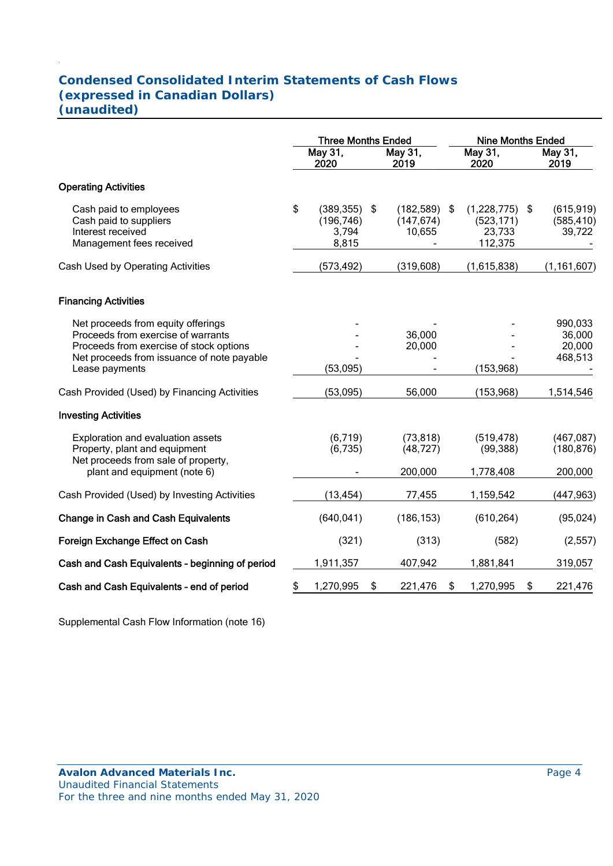# **Condensed Consolidated Interim Statements of Cash Flows (expressed in Canadian Dollars) (unaudited)**

|                                                                                                                                                                                     |                 | <b>Three Months Ended</b>                  |    |                                    |     | <b>Nine Months Ended</b>                       |    |                                        |  |
|-------------------------------------------------------------------------------------------------------------------------------------------------------------------------------------|-----------------|--------------------------------------------|----|------------------------------------|-----|------------------------------------------------|----|----------------------------------------|--|
|                                                                                                                                                                                     | May 31,<br>2020 |                                            |    | May 31,<br>2019                    |     | May 31,<br>2020                                |    | May 31,<br>2019                        |  |
| <b>Operating Activities</b>                                                                                                                                                         |                 |                                            |    |                                    |     |                                                |    |                                        |  |
| Cash paid to employees<br>Cash paid to suppliers<br>Interest received<br>Management fees received                                                                                   | \$              | (389, 355)<br>(196, 746)<br>3,794<br>8,815 | \$ | (182, 589)<br>(147, 674)<br>10,655 | -\$ | (1,228,775)<br>(523, 171)<br>23,733<br>112,375 | \$ | (615, 919)<br>(585, 410)<br>39,722     |  |
| Cash Used by Operating Activities                                                                                                                                                   |                 | (573, 492)                                 |    | (319, 608)                         |     | (1,615,838)                                    |    | (1, 161, 607)                          |  |
| <b>Financing Activities</b>                                                                                                                                                         |                 |                                            |    |                                    |     |                                                |    |                                        |  |
| Net proceeds from equity offerings<br>Proceeds from exercise of warrants<br>Proceeds from exercise of stock options<br>Net proceeds from issuance of note payable<br>Lease payments |                 | (53,095)                                   |    | 36,000<br>20,000                   |     | (153, 968)                                     |    | 990,033<br>36,000<br>20,000<br>468,513 |  |
| Cash Provided (Used) by Financing Activities                                                                                                                                        |                 | (53,095)                                   |    | 56,000                             |     | (153, 968)                                     |    | 1,514,546                              |  |
| <b>Investing Activities</b>                                                                                                                                                         |                 |                                            |    |                                    |     |                                                |    |                                        |  |
| Exploration and evaluation assets<br>Property, plant and equipment<br>Net proceeds from sale of property,                                                                           |                 | (6, 719)<br>(6,735)                        |    | (73, 818)<br>(48, 727)             |     | (519, 478)<br>(99, 388)                        |    | (467, 087)<br>(180, 876)               |  |
| plant and equipment (note 6)                                                                                                                                                        |                 |                                            |    | 200,000                            |     | 1,778,408                                      |    | 200,000                                |  |
| Cash Provided (Used) by Investing Activities                                                                                                                                        |                 | (13, 454)                                  |    | 77,455                             |     | 1,159,542                                      |    | (447, 963)                             |  |
| <b>Change in Cash and Cash Equivalents</b>                                                                                                                                          |                 | (640, 041)                                 |    | (186, 153)                         |     | (610, 264)                                     |    | (95, 024)                              |  |
| Foreign Exchange Effect on Cash                                                                                                                                                     |                 | (321)                                      |    | (313)                              |     | (582)                                          |    | (2, 557)                               |  |
| Cash and Cash Equivalents - beginning of period                                                                                                                                     |                 | 1,911,357                                  |    | 407,942                            |     | 1,881,841                                      |    | 319,057                                |  |
| Cash and Cash Equivalents - end of period                                                                                                                                           | \$              | 1,270,995                                  | \$ | 221,476                            | \$  | 1,270,995                                      | \$ | 221,476                                |  |

Supplemental Cash Flow Information (note 16)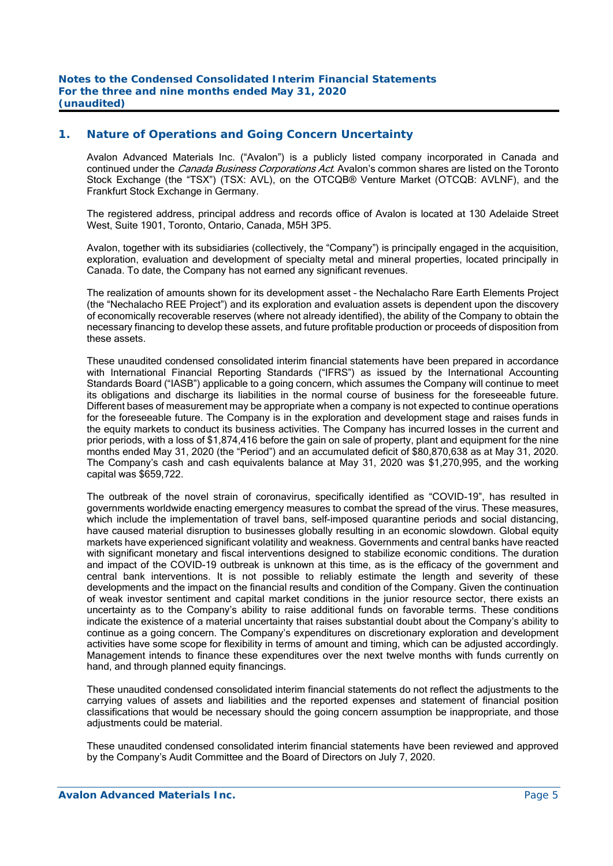#### **1. Nature of Operations and Going Concern Uncertainty**

Avalon Advanced Materials Inc. ("Avalon") is a publicly listed company incorporated in Canada and continued under the *Canada Business Corporations Act*. Avalon's common shares are listed on the Toronto Stock Exchange (the "TSX") (TSX: AVL), on the OTCQB® Venture Market (OTCQB: AVLNF), and the Frankfurt Stock Exchange in Germany.

The registered address, principal address and records office of Avalon is located at 130 Adelaide Street West, Suite 1901, Toronto, Ontario, Canada, M5H 3P5.

Avalon, together with its subsidiaries (collectively, the "Company") is principally engaged in the acquisition, exploration, evaluation and development of specialty metal and mineral properties, located principally in Canada. To date, the Company has not earned any significant revenues.

The realization of amounts shown for its development asset – the Nechalacho Rare Earth Elements Project (the "Nechalacho REE Project") and its exploration and evaluation assets is dependent upon the discovery of economically recoverable reserves (where not already identified), the ability of the Company to obtain the necessary financing to develop these assets, and future profitable production or proceeds of disposition from these assets.

These unaudited condensed consolidated interim financial statements have been prepared in accordance with International Financial Reporting Standards ("IFRS") as issued by the International Accounting Standards Board ("IASB") applicable to a going concern, which assumes the Company will continue to meet its obligations and discharge its liabilities in the normal course of business for the foreseeable future. Different bases of measurement may be appropriate when a company is not expected to continue operations for the foreseeable future. The Company is in the exploration and development stage and raises funds in the equity markets to conduct its business activities. The Company has incurred losses in the current and prior periods, with a loss of \$1,874,416 before the gain on sale of property, plant and equipment for the nine months ended May 31, 2020 (the "Period") and an accumulated deficit of \$80,870,638 as at May 31, 2020. The Company's cash and cash equivalents balance at May 31, 2020 was \$1,270,995, and the working capital was \$659,722.

The outbreak of the novel strain of coronavirus, specifically identified as "COVID-19", has resulted in governments worldwide enacting emergency measures to combat the spread of the virus. These measures, which include the implementation of travel bans, self-imposed quarantine periods and social distancing, have caused material disruption to businesses globally resulting in an economic slowdown. Global equity markets have experienced significant volatility and weakness. Governments and central banks have reacted with significant monetary and fiscal interventions designed to stabilize economic conditions. The duration and impact of the COVID-19 outbreak is unknown at this time, as is the efficacy of the government and central bank interventions. It is not possible to reliably estimate the length and severity of these developments and the impact on the financial results and condition of the Company. Given the continuation of weak investor sentiment and capital market conditions in the junior resource sector, there exists an uncertainty as to the Company's ability to raise additional funds on favorable terms. These conditions indicate the existence of a material uncertainty that raises substantial doubt about the Company's ability to continue as a going concern. The Company's expenditures on discretionary exploration and development activities have some scope for flexibility in terms of amount and timing, which can be adjusted accordingly. Management intends to finance these expenditures over the next twelve months with funds currently on hand, and through planned equity financings.

These unaudited condensed consolidated interim financial statements do not reflect the adjustments to the carrying values of assets and liabilities and the reported expenses and statement of financial position classifications that would be necessary should the going concern assumption be inappropriate, and those adjustments could be material.

These unaudited condensed consolidated interim financial statements have been reviewed and approved by the Company's Audit Committee and the Board of Directors on July 7, 2020.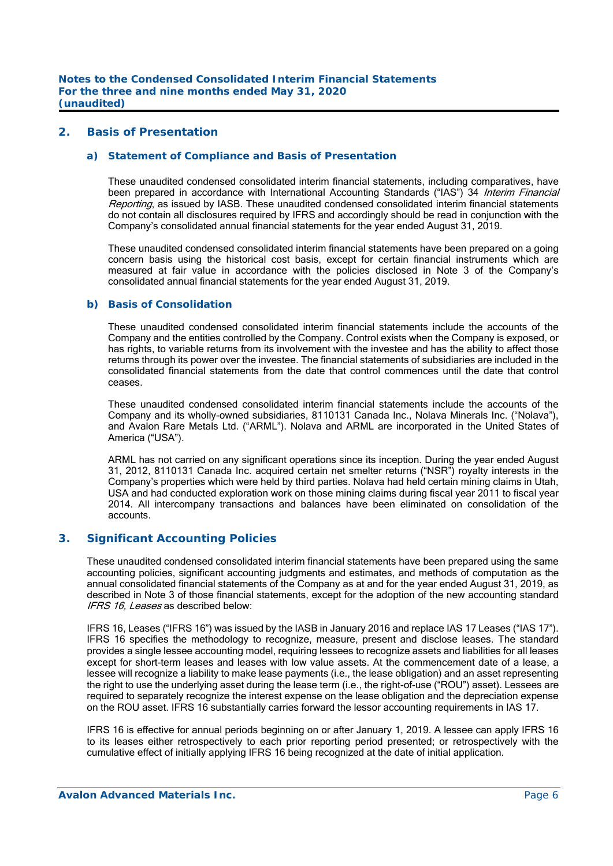#### **2. Basis of Presentation**

#### *a) Statement of Compliance and Basis of Presentation*

 These unaudited condensed consolidated interim financial statements, including comparatives, have been prepared in accordance with International Accounting Standards ("IAS") 34 Interim Financial Reporting, as issued by IASB. These unaudited condensed consolidated interim financial statements do not contain all disclosures required by IFRS and accordingly should be read in conjunction with the Company's consolidated annual financial statements for the year ended August 31, 2019.

 These unaudited condensed consolidated interim financial statements have been prepared on a going concern basis using the historical cost basis, except for certain financial instruments which are measured at fair value in accordance with the policies disclosed in Note 3 of the Company's consolidated annual financial statements for the year ended August 31, 2019.

#### *b) Basis of Consolidation*

 These unaudited condensed consolidated interim financial statements include the accounts of the Company and the entities controlled by the Company. Control exists when the Company is exposed, or has rights, to variable returns from its involvement with the investee and has the ability to affect those returns through its power over the investee. The financial statements of subsidiaries are included in the consolidated financial statements from the date that control commences until the date that control ceases.

 These unaudited condensed consolidated interim financial statements include the accounts of the Company and its wholly-owned subsidiaries, 8110131 Canada Inc., Nolava Minerals Inc. ("Nolava"), and Avalon Rare Metals Ltd. ("ARML"). Nolava and ARML are incorporated in the United States of America ("USA").

 ARML has not carried on any significant operations since its inception. During the year ended August 31, 2012, 8110131 Canada Inc. acquired certain net smelter returns ("NSR") royalty interests in the Company's properties which were held by third parties. Nolava had held certain mining claims in Utah, USA and had conducted exploration work on those mining claims during fiscal year 2011 to fiscal year 2014. All intercompany transactions and balances have been eliminated on consolidation of the accounts.

#### **3. Significant Accounting Policies**

These unaudited condensed consolidated interim financial statements have been prepared using the same accounting policies, significant accounting judgments and estimates, and methods of computation as the annual consolidated financial statements of the Company as at and for the year ended August 31, 2019, as described in Note 3 of those financial statements, except for the adoption of the new accounting standard IFRS 16, Leases as described below:

 IFRS 16, Leases ("IFRS 16") was issued by the IASB in January 2016 and replace IAS 17 Leases ("IAS 17"). IFRS 16 specifies the methodology to recognize, measure, present and disclose leases. The standard provides a single lessee accounting model, requiring lessees to recognize assets and liabilities for all leases except for short-term leases and leases with low value assets. At the commencement date of a lease, a lessee will recognize a liability to make lease payments (i.e., the lease obligation) and an asset representing the right to use the underlying asset during the lease term (i.e., the right-of-use ("ROU") asset). Lessees are required to separately recognize the interest expense on the lease obligation and the depreciation expense on the ROU asset. IFRS 16 substantially carries forward the lessor accounting requirements in IAS 17.

 IFRS 16 is effective for annual periods beginning on or after January 1, 2019. A lessee can apply IFRS 16 to its leases either retrospectively to each prior reporting period presented; or retrospectively with the cumulative effect of initially applying IFRS 16 being recognized at the date of initial application.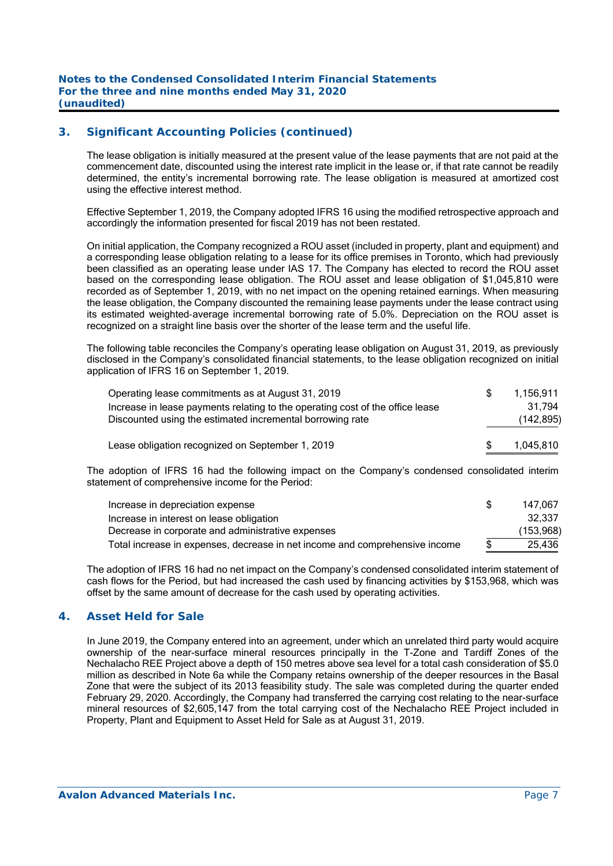## **3. Significant Accounting Policies (continued)**

 The lease obligation is initially measured at the present value of the lease payments that are not paid at the commencement date, discounted using the interest rate implicit in the lease or, if that rate cannot be readily determined, the entity's incremental borrowing rate. The lease obligation is measured at amortized cost using the effective interest method.

Effective September 1, 2019, the Company adopted IFRS 16 using the modified retrospective approach and accordingly the information presented for fiscal 2019 has not been restated.

 On initial application, the Company recognized a ROU asset (included in property, plant and equipment) and a corresponding lease obligation relating to a lease for its office premises in Toronto, which had previously been classified as an operating lease under IAS 17. The Company has elected to record the ROU asset based on the corresponding lease obligation. The ROU asset and lease obligation of \$1,045,810 were recorded as of September 1, 2019, with no net impact on the opening retained earnings. When measuring the lease obligation, the Company discounted the remaining lease payments under the lease contract using its estimated weighted-average incremental borrowing rate of 5.0%. Depreciation on the ROU asset is recognized on a straight line basis over the shorter of the lease term and the useful life.

 The following table reconciles the Company's operating lease obligation on August 31, 2019, as previously disclosed in the Company's consolidated financial statements, to the lease obligation recognized on initial application of IFRS 16 on September 1, 2019.

| Operating lease commitments as at August 31, 2019                             | 1.156.911  |
|-------------------------------------------------------------------------------|------------|
| Increase in lease payments relating to the operating cost of the office lease | 31.794     |
| Discounted using the estimated incremental borrowing rate                     | (142, 895) |
| Lease obligation recognized on September 1, 2019                              | 1,045,810  |

 The adoption of IFRS 16 had the following impact on the Company's condensed consolidated interim statement of comprehensive income for the Period:

| Increase in depreciation expense                                            | 147.067    |
|-----------------------------------------------------------------------------|------------|
| Increase in interest on lease obligation                                    | 32.337     |
| Decrease in corporate and administrative expenses                           | (153, 968) |
| Total increase in expenses, decrease in net income and comprehensive income | 25.436     |

 The adoption of IFRS 16 had no net impact on the Company's condensed consolidated interim statement of cash flows for the Period, but had increased the cash used by financing activities by \$153,968, which was offset by the same amount of decrease for the cash used by operating activities.

#### **4. Asset Held for Sale**

In June 2019, the Company entered into an agreement, under which an unrelated third party would acquire ownership of the near-surface mineral resources principally in the T-Zone and Tardiff Zones of the Nechalacho REE Project above a depth of 150 metres above sea level for a total cash consideration of \$5.0 million as described in Note 6a while the Company retains ownership of the deeper resources in the Basal Zone that were the subject of its 2013 feasibility study. The sale was completed during the quarter ended February 29, 2020. Accordingly, the Company had transferred the carrying cost relating to the near-surface mineral resources of \$2,605,147 from the total carrying cost of the Nechalacho REE Project included in Property, Plant and Equipment to Asset Held for Sale as at August 31, 2019.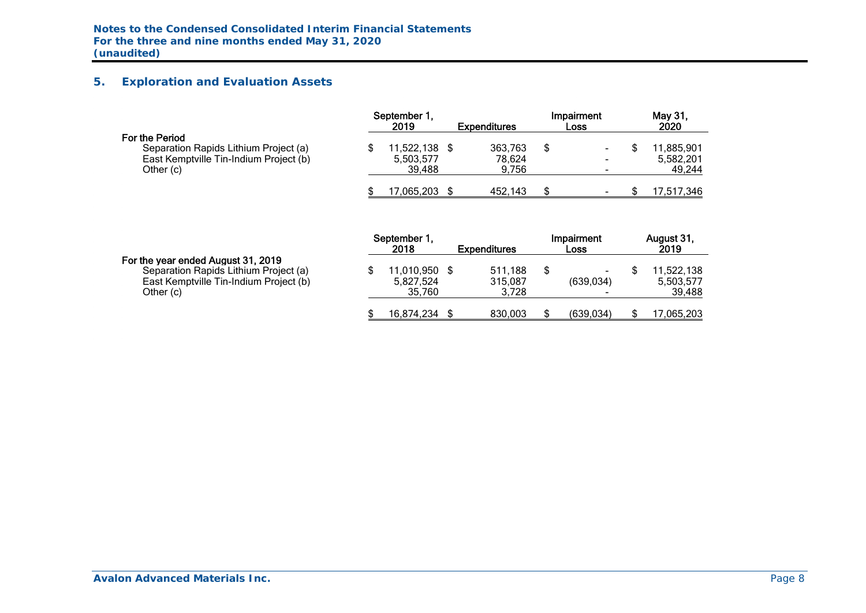## **5. Exploration and Evaluation Assets**

|                                                                                                                | September 1.<br>2019              | <b>Expenditures</b>        | Impairment<br><b>Loss</b>          | May 31.<br>2020                   |
|----------------------------------------------------------------------------------------------------------------|-----------------------------------|----------------------------|------------------------------------|-----------------------------------|
| For the Period<br>Separation Rapids Lithium Project (a)<br>East Kemptville Tin-Indium Project (b)<br>Other (c) | 11,522,138<br>5,503,577<br>39.488 | 363,763<br>78.624<br>9.756 | ۰<br>۰<br>$\overline{\phantom{a}}$ | 11,885,901<br>5,582,201<br>49,244 |
|                                                                                                                | 17,065,203                        | 452.143                    | ۰                                  | 17,517,346                        |

|                                                                                                                                    | September 1<br>2018               | <b>Expenditures</b>         | Impairment<br>Loss                    | August 31,<br>2019                |
|------------------------------------------------------------------------------------------------------------------------------------|-----------------------------------|-----------------------------|---------------------------------------|-----------------------------------|
| For the year ended August 31, 2019<br>Separation Rapids Lithium Project (a)<br>East Kemptville Tin-Indium Project (b)<br>Other (c) | 11,010,950<br>5.827.524<br>35.760 | 511.188<br>315.087<br>3.728 | (639.034)<br>$\overline{\phantom{a}}$ | 11.522.138<br>5,503,577<br>39,488 |
|                                                                                                                                    | 16.874.234                        | 830.003                     | (639, 034)                            | 7,065,203                         |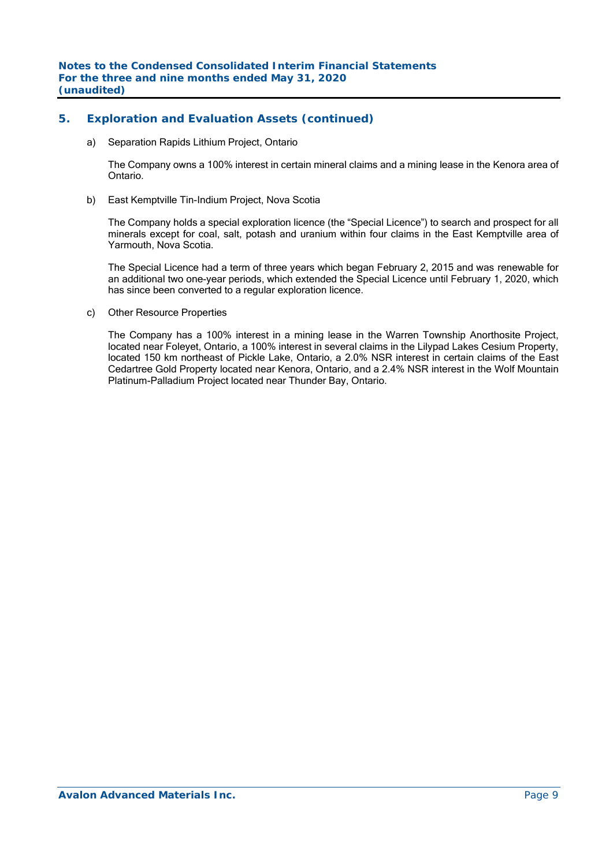## **5. Exploration and Evaluation Assets (continued)**

a) Separation Rapids Lithium Project, Ontario

The Company owns a 100% interest in certain mineral claims and a mining lease in the Kenora area of Ontario.

b) East Kemptville Tin-Indium Project, Nova Scotia

The Company holds a special exploration licence (the "Special Licence") to search and prospect for all minerals except for coal, salt, potash and uranium within four claims in the East Kemptville area of Yarmouth, Nova Scotia.

The Special Licence had a term of three years which began February 2, 2015 and was renewable for an additional two one-year periods, which extended the Special Licence until February 1, 2020, which has since been converted to a regular exploration licence.

c) Other Resource Properties

The Company has a 100% interest in a mining lease in the Warren Township Anorthosite Project, located near Foleyet, Ontario, a 100% interest in several claims in the Lilypad Lakes Cesium Property, located 150 km northeast of Pickle Lake, Ontario, a 2.0% NSR interest in certain claims of the East Cedartree Gold Property located near Kenora, Ontario, and a 2.4% NSR interest in the Wolf Mountain Platinum-Palladium Project located near Thunder Bay, Ontario.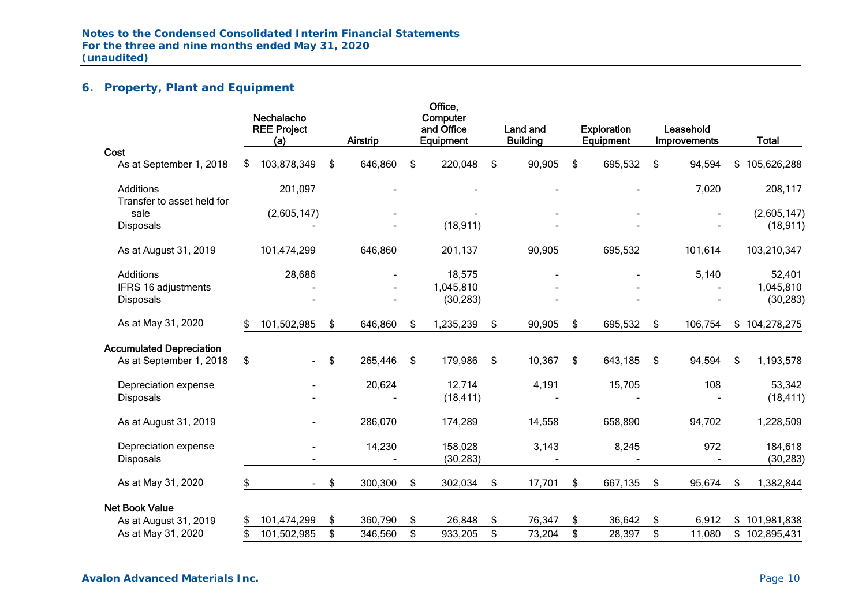# **6. Property, Plant and Equipment**

|                                                            |    | Nechalacho<br><b>REE Project</b><br>(a) | <b>Airstrip</b> | Office,<br>Computer<br>and Office<br>Equipment | Land and<br><b>Building</b> | <b>Exploration</b><br>Equipment | Leasehold<br><b>Improvements</b> |      | <b>Total</b>         |
|------------------------------------------------------------|----|-----------------------------------------|-----------------|------------------------------------------------|-----------------------------|---------------------------------|----------------------------------|------|----------------------|
| Cost                                                       |    |                                         |                 |                                                |                             |                                 |                                  |      |                      |
| As at September 1, 2018                                    | \$ | 103,878,349                             | \$<br>646,860   | \$<br>220,048                                  | \$<br>90,905                | \$<br>695,532                   | \$<br>94,594                     | \$   | 105,626,288          |
| <b>Additions</b>                                           |    | 201,097                                 |                 |                                                |                             |                                 | 7,020                            |      | 208,117              |
| Transfer to asset held for<br>sale                         |    | (2,605,147)                             |                 |                                                |                             |                                 |                                  |      | (2,605,147)          |
| <b>Disposals</b>                                           |    |                                         |                 | (18, 911)                                      |                             |                                 |                                  |      | (18, 911)            |
| As at August 31, 2019                                      |    | 101,474,299                             | 646,860         | 201,137                                        | 90,905                      | 695,532                         | 101,614                          |      | 103,210,347          |
| <b>Additions</b>                                           |    | 28,686                                  |                 | 18,575                                         |                             |                                 | 5,140                            |      | 52,401               |
| IFRS 16 adjustments                                        |    |                                         |                 | 1,045,810                                      |                             |                                 |                                  |      | 1,045,810            |
| <b>Disposals</b>                                           |    |                                         |                 | (30, 283)                                      |                             |                                 |                                  |      | (30, 283)            |
| As at May 31, 2020                                         | S. | 101,502,985                             | \$<br>646,860   | \$<br>1,235,239                                | \$<br>90,905                | \$<br>695,532                   | \$<br>106,754                    |      | \$104,278,275        |
| <b>Accumulated Depreciation</b><br>As at September 1, 2018 | \$ |                                         | \$<br>265,446   | \$<br>179,986                                  | \$<br>10,367                | \$<br>643,185                   | \$<br>94,594                     | - \$ | 1,193,578            |
| Depreciation expense<br><b>Disposals</b>                   |    |                                         | 20,624          | 12,714<br>(18, 411)                            | 4,191                       | 15,705                          | 108                              |      | 53,342<br>(18, 411)  |
| As at August 31, 2019                                      |    |                                         | 286,070         | 174,289                                        | 14,558                      | 658,890                         | 94,702                           |      | 1,228,509            |
| Depreciation expense<br><b>Disposals</b>                   |    |                                         | 14,230          | 158,028<br>(30, 283)                           | 3,143                       | 8,245                           | 972                              |      | 184,618<br>(30, 283) |
| As at May 31, 2020                                         | \$ |                                         | \$<br>300,300   | \$<br>302,034                                  | \$<br>17,701                | \$<br>667,135                   | \$<br>95,674                     | \$   | 1,382,844            |
| <b>Net Book Value</b>                                      |    |                                         |                 |                                                |                             |                                 |                                  |      |                      |
| As at August 31, 2019                                      |    | 101,474,299                             | \$<br>360,790   | \$<br>26,848                                   | \$<br>76,347                | \$<br>36,642                    | \$<br>6,912                      |      | \$101,981,838        |
| As at May 31, 2020                                         |    | 101,502,985                             | \$<br>346,560   | \$<br>933,205                                  | \$<br>73,204                | \$<br>28,397                    | \$<br>11,080                     |      | \$102,895,431        |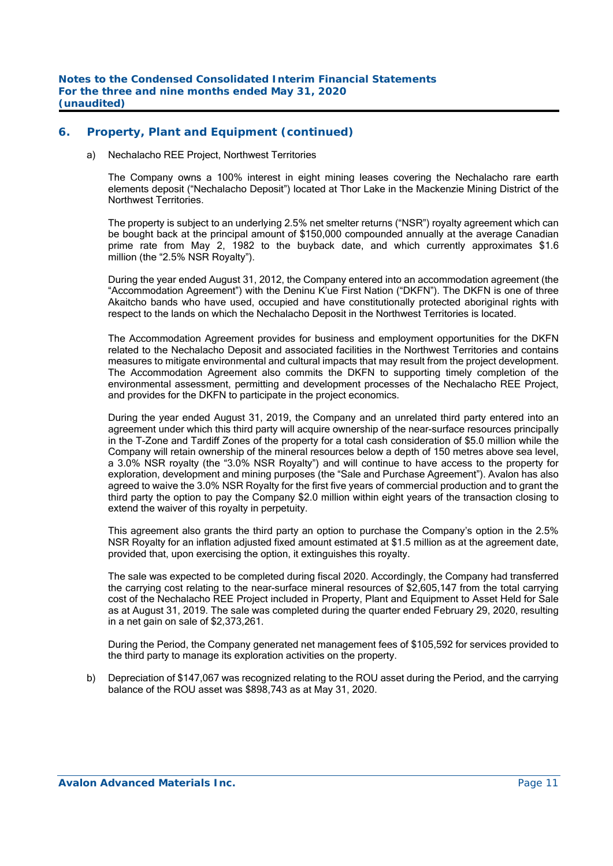## **6. Property, Plant and Equipment (continued)**

#### a) Nechalacho REE Project, Northwest Territories

The Company owns a 100% interest in eight mining leases covering the Nechalacho rare earth elements deposit ("Nechalacho Deposit") located at Thor Lake in the Mackenzie Mining District of the Northwest Territories.

The property is subject to an underlying 2.5% net smelter returns ("NSR") royalty agreement which can be bought back at the principal amount of \$150,000 compounded annually at the average Canadian prime rate from May 2, 1982 to the buyback date, and which currently approximates \$1.6 million (the "2.5% NSR Royalty").

During the year ended August 31, 2012, the Company entered into an accommodation agreement (the "Accommodation Agreement") with the Deninu K'ue First Nation ("DKFN"). The DKFN is one of three Akaitcho bands who have used, occupied and have constitutionally protected aboriginal rights with respect to the lands on which the Nechalacho Deposit in the Northwest Territories is located.

The Accommodation Agreement provides for business and employment opportunities for the DKFN related to the Nechalacho Deposit and associated facilities in the Northwest Territories and contains measures to mitigate environmental and cultural impacts that may result from the project development. The Accommodation Agreement also commits the DKFN to supporting timely completion of the environmental assessment, permitting and development processes of the Nechalacho REE Project, and provides for the DKFN to participate in the project economics.

 During the year ended August 31, 2019, the Company and an unrelated third party entered into an agreement under which this third party will acquire ownership of the near-surface resources principally in the T-Zone and Tardiff Zones of the property for a total cash consideration of \$5.0 million while the Company will retain ownership of the mineral resources below a depth of 150 metres above sea level, a 3.0% NSR royalty (the "3.0% NSR Royalty") and will continue to have access to the property for exploration, development and mining purposes (the "Sale and Purchase Agreement"). Avalon has also agreed to waive the 3.0% NSR Royalty for the first five years of commercial production and to grant the third party the option to pay the Company \$2.0 million within eight years of the transaction closing to extend the waiver of this royalty in perpetuity.

 This agreement also grants the third party an option to purchase the Company's option in the 2.5% NSR Royalty for an inflation adjusted fixed amount estimated at \$1.5 million as at the agreement date, provided that, upon exercising the option, it extinguishes this royalty.

The sale was expected to be completed during fiscal 2020. Accordingly, the Company had transferred the carrying cost relating to the near-surface mineral resources of \$2,605,147 from the total carrying cost of the Nechalacho REE Project included in Property, Plant and Equipment to Asset Held for Sale as at August 31, 2019. The sale was completed during the quarter ended February 29, 2020, resulting in a net gain on sale of \$2,373,261.

 During the Period, the Company generated net management fees of \$105,592 for services provided to the third party to manage its exploration activities on the property.

b) Depreciation of \$147,067 was recognized relating to the ROU asset during the Period, and the carrying balance of the ROU asset was \$898,743 as at May 31, 2020.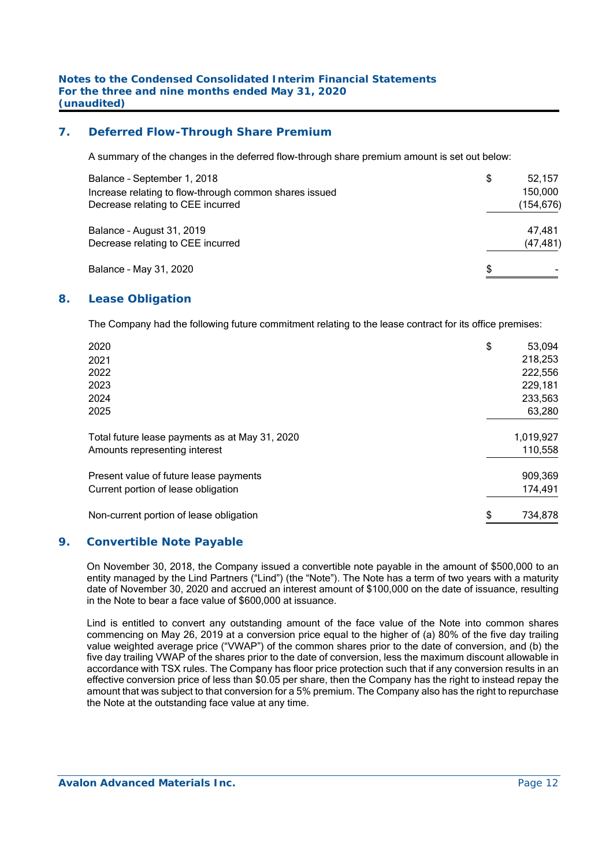## **7. Deferred Flow-Through Share Premium**

A summary of the changes in the deferred flow-through share premium amount is set out below:

| Balance - September 1, 2018<br>Increase relating to flow-through common shares issued<br>Decrease relating to CEE incurred | \$ | 52.157<br>150,000<br>(154,676) |
|----------------------------------------------------------------------------------------------------------------------------|----|--------------------------------|
| Balance - August 31, 2019<br>Decrease relating to CEE incurred                                                             |    | 47.481<br>(47, 481)            |
| Balance - May 31, 2020                                                                                                     | £. |                                |

#### **8. Lease Obligation**

The Company had the following future commitment relating to the lease contract for its office premises:

| 2020                                           | \$<br>53,094  |
|------------------------------------------------|---------------|
| 2021                                           | 218,253       |
| 2022                                           | 222,556       |
| 2023                                           | 229,181       |
| 2024                                           | 233,563       |
| 2025                                           | 63,280        |
| Total future lease payments as at May 31, 2020 | 1,019,927     |
| Amounts representing interest                  | 110,558       |
| Present value of future lease payments         | 909,369       |
| Current portion of lease obligation            | 174,491       |
| Non-current portion of lease obligation        | \$<br>734,878 |

#### **9. Convertible Note Payable**

On November 30, 2018, the Company issued a convertible note payable in the amount of \$500,000 to an entity managed by the Lind Partners ("Lind") (the "Note"). The Note has a term of two years with a maturity date of November 30, 2020 and accrued an interest amount of \$100,000 on the date of issuance, resulting in the Note to bear a face value of \$600,000 at issuance.

Lind is entitled to convert any outstanding amount of the face value of the Note into common shares commencing on May 26, 2019 at a conversion price equal to the higher of (a) 80% of the five day trailing value weighted average price ("VWAP") of the common shares prior to the date of conversion, and (b) the five day trailing VWAP of the shares prior to the date of conversion, less the maximum discount allowable in accordance with TSX rules. The Company has floor price protection such that if any conversion results in an effective conversion price of less than \$0.05 per share, then the Company has the right to instead repay the amount that was subject to that conversion for a 5% premium. The Company also has the right to repurchase the Note at the outstanding face value at any time.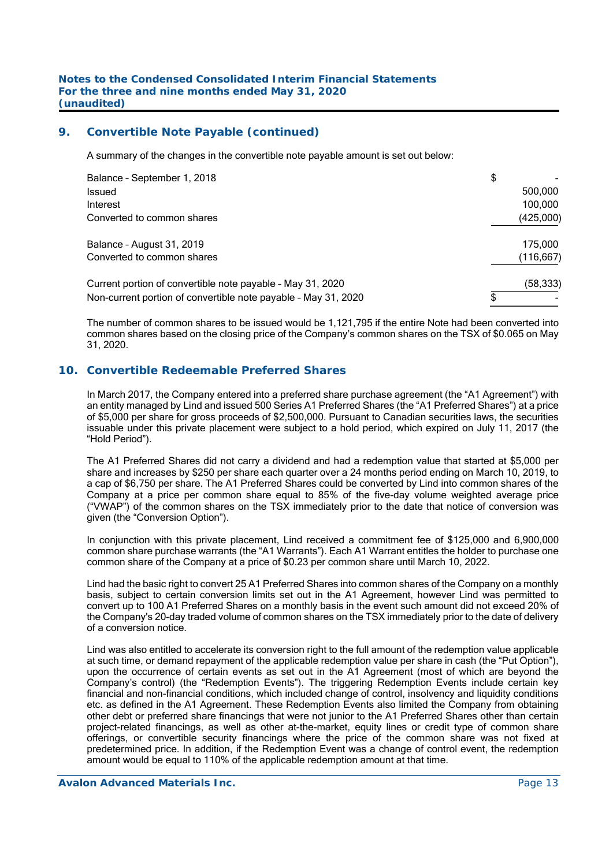#### **9. Convertible Note Payable (continued)**

A summary of the changes in the convertible note payable amount is set out below:

| Balance - September 1, 2018                                    | \$         |
|----------------------------------------------------------------|------------|
| Issued                                                         | 500,000    |
| Interest                                                       | 100.000    |
| Converted to common shares                                     | (425,000)  |
| Balance - August 31, 2019                                      | 175.000    |
| Converted to common shares                                     | (116, 667) |
| Current portion of convertible note payable - May 31, 2020     | (58, 333)  |
| Non-current portion of convertible note payable - May 31, 2020 |            |

The number of common shares to be issued would be 1,121,795 if the entire Note had been converted into common shares based on the closing price of the Company's common shares on the TSX of \$0.065 on May 31, 2020.

## **10. Convertible Redeemable Preferred Shares**

In March 2017, the Company entered into a preferred share purchase agreement (the "A1 Agreement") with an entity managed by Lind and issued 500 Series A1 Preferred Shares (the "A1 Preferred Shares") at a price of \$5,000 per share for gross proceeds of \$2,500,000. Pursuant to Canadian securities laws, the securities issuable under this private placement were subject to a hold period, which expired on July 11, 2017 (the "Hold Period").

The A1 Preferred Shares did not carry a dividend and had a redemption value that started at \$5,000 per share and increases by \$250 per share each quarter over a 24 months period ending on March 10, 2019, to a cap of \$6,750 per share. The A1 Preferred Shares could be converted by Lind into common shares of the Company at a price per common share equal to 85% of the five-day volume weighted average price ("VWAP") of the common shares on the TSX immediately prior to the date that notice of conversion was given (the "Conversion Option").

In conjunction with this private placement, Lind received a commitment fee of \$125,000 and 6,900,000 common share purchase warrants (the "A1 Warrants"). Each A1 Warrant entitles the holder to purchase one common share of the Company at a price of \$0.23 per common share until March 10, 2022.

Lind had the basic right to convert 25 A1 Preferred Shares into common shares of the Company on a monthly basis, subject to certain conversion limits set out in the A1 Agreement, however Lind was permitted to convert up to 100 A1 Preferred Shares on a monthly basis in the event such amount did not exceed 20% of the Company's 20-day traded volume of common shares on the TSX immediately prior to the date of delivery of a conversion notice.

Lind was also entitled to accelerate its conversion right to the full amount of the redemption value applicable at such time, or demand repayment of the applicable redemption value per share in cash (the "Put Option"), upon the occurrence of certain events as set out in the A1 Agreement (most of which are beyond the Company's control) (the "Redemption Events"). The triggering Redemption Events include certain key financial and non-financial conditions, which included change of control, insolvency and liquidity conditions etc. as defined in the A1 Agreement. These Redemption Events also limited the Company from obtaining other debt or preferred share financings that were not junior to the A1 Preferred Shares other than certain project-related financings, as well as other at-the-market, equity lines or credit type of common share offerings, or convertible security financings where the price of the common share was not fixed at predetermined price. In addition, if the Redemption Event was a change of control event, the redemption amount would be equal to 110% of the applicable redemption amount at that time.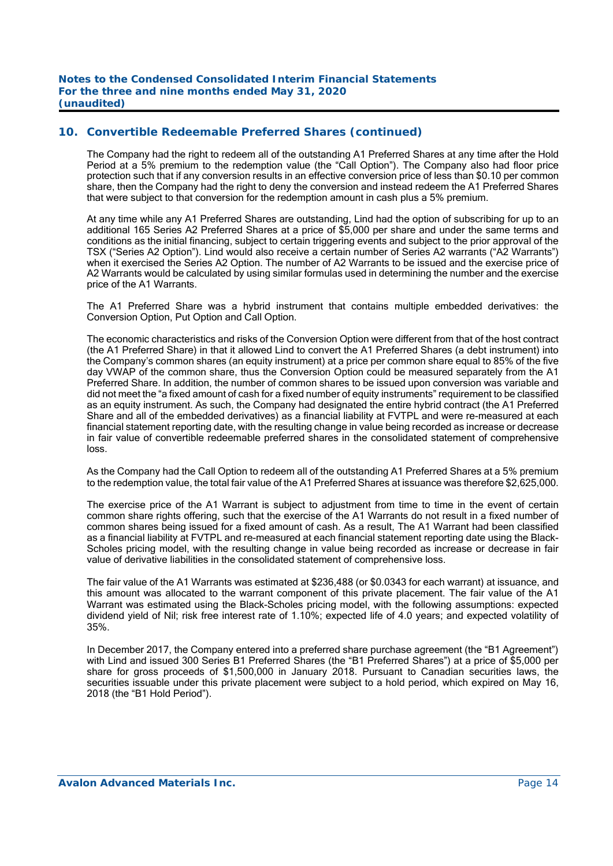The Company had the right to redeem all of the outstanding A1 Preferred Shares at any time after the Hold Period at a 5% premium to the redemption value (the "Call Option"). The Company also had floor price protection such that if any conversion results in an effective conversion price of less than \$0.10 per common share, then the Company had the right to deny the conversion and instead redeem the A1 Preferred Shares that were subject to that conversion for the redemption amount in cash plus a 5% premium.

At any time while any A1 Preferred Shares are outstanding, Lind had the option of subscribing for up to an additional 165 Series A2 Preferred Shares at a price of \$5,000 per share and under the same terms and conditions as the initial financing, subject to certain triggering events and subject to the prior approval of the TSX ("Series A2 Option"). Lind would also receive a certain number of Series A2 warrants ("A2 Warrants") when it exercised the Series A2 Option. The number of A2 Warrants to be issued and the exercise price of A2 Warrants would be calculated by using similar formulas used in determining the number and the exercise price of the A1 Warrants.

The A1 Preferred Share was a hybrid instrument that contains multiple embedded derivatives: the Conversion Option, Put Option and Call Option.

The economic characteristics and risks of the Conversion Option were different from that of the host contract (the A1 Preferred Share) in that it allowed Lind to convert the A1 Preferred Shares (a debt instrument) into the Company's common shares (an equity instrument) at a price per common share equal to 85% of the five day VWAP of the common share, thus the Conversion Option could be measured separately from the A1 Preferred Share. In addition, the number of common shares to be issued upon conversion was variable and did not meet the "a fixed amount of cash for a fixed number of equity instruments" requirement to be classified as an equity instrument. As such, the Company had designated the entire hybrid contract (the A1 Preferred Share and all of the embedded derivatives) as a financial liability at FVTPL and were re-measured at each financial statement reporting date, with the resulting change in value being recorded as increase or decrease in fair value of convertible redeemable preferred shares in the consolidated statement of comprehensive loss.

As the Company had the Call Option to redeem all of the outstanding A1 Preferred Shares at a 5% premium to the redemption value, the total fair value of the A1 Preferred Shares at issuance was therefore \$2,625,000.

The exercise price of the A1 Warrant is subject to adjustment from time to time in the event of certain common share rights offering, such that the exercise of the A1 Warrants do not result in a fixed number of common shares being issued for a fixed amount of cash. As a result, The A1 Warrant had been classified as a financial liability at FVTPL and re-measured at each financial statement reporting date using the Black-Scholes pricing model, with the resulting change in value being recorded as increase or decrease in fair value of derivative liabilities in the consolidated statement of comprehensive loss.

 The fair value of the A1 Warrants was estimated at \$236,488 (or \$0.0343 for each warrant) at issuance, and this amount was allocated to the warrant component of this private placement. The fair value of the A1 Warrant was estimated using the Black-Scholes pricing model, with the following assumptions: expected dividend yield of Nil; risk free interest rate of 1.10%; expected life of 4.0 years; and expected volatility of 35%.

In December 2017, the Company entered into a preferred share purchase agreement (the "B1 Agreement") with Lind and issued 300 Series B1 Preferred Shares (the "B1 Preferred Shares") at a price of \$5,000 per share for gross proceeds of \$1,500,000 in January 2018. Pursuant to Canadian securities laws, the securities issuable under this private placement were subject to a hold period, which expired on May 16, 2018 (the "B1 Hold Period").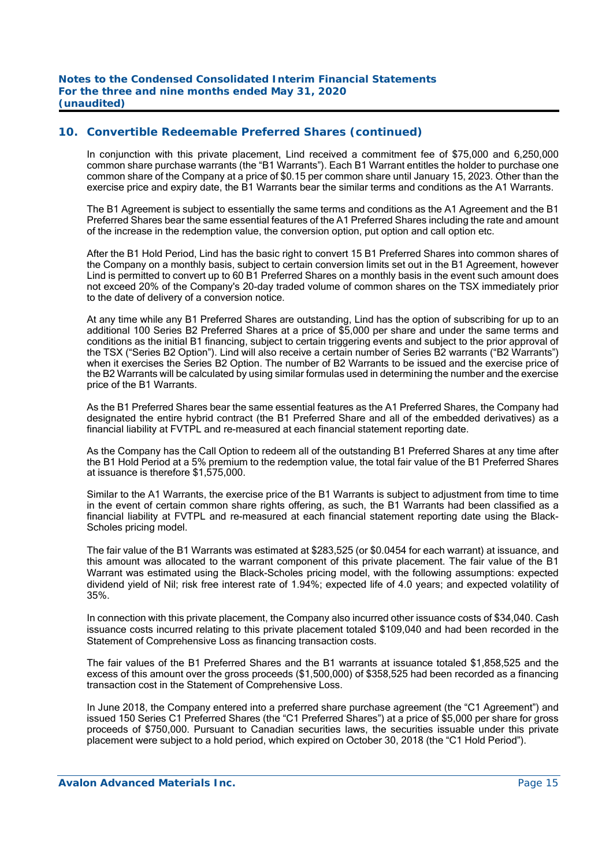In conjunction with this private placement, Lind received a commitment fee of \$75,000 and 6,250,000 common share purchase warrants (the "B1 Warrants"). Each B1 Warrant entitles the holder to purchase one common share of the Company at a price of \$0.15 per common share until January 15, 2023. Other than the exercise price and expiry date, the B1 Warrants bear the similar terms and conditions as the A1 Warrants.

The B1 Agreement is subject to essentially the same terms and conditions as the A1 Agreement and the B1 Preferred Shares bear the same essential features of the A1 Preferred Shares including the rate and amount of the increase in the redemption value, the conversion option, put option and call option etc.

After the B1 Hold Period, Lind has the basic right to convert 15 B1 Preferred Shares into common shares of the Company on a monthly basis, subject to certain conversion limits set out in the B1 Agreement, however Lind is permitted to convert up to 60 B1 Preferred Shares on a monthly basis in the event such amount does not exceed 20% of the Company's 20-day traded volume of common shares on the TSX immediately prior to the date of delivery of a conversion notice.

At any time while any B1 Preferred Shares are outstanding, Lind has the option of subscribing for up to an additional 100 Series B2 Preferred Shares at a price of \$5,000 per share and under the same terms and conditions as the initial B1 financing, subject to certain triggering events and subject to the prior approval of the TSX ("Series B2 Option"). Lind will also receive a certain number of Series B2 warrants ("B2 Warrants") when it exercises the Series B2 Option. The number of B2 Warrants to be issued and the exercise price of the B2 Warrants will be calculated by using similar formulas used in determining the number and the exercise price of the B1 Warrants.

As the B1 Preferred Shares bear the same essential features as the A1 Preferred Shares, the Company had designated the entire hybrid contract (the B1 Preferred Share and all of the embedded derivatives) as a financial liability at FVTPL and re-measured at each financial statement reporting date.

As the Company has the Call Option to redeem all of the outstanding B1 Preferred Shares at any time after the B1 Hold Period at a 5% premium to the redemption value, the total fair value of the B1 Preferred Shares at issuance is therefore \$1,575,000.

Similar to the A1 Warrants, the exercise price of the B1 Warrants is subject to adjustment from time to time in the event of certain common share rights offering, as such, the B1 Warrants had been classified as a financial liability at FVTPL and re-measured at each financial statement reporting date using the Black-Scholes pricing model.

 The fair value of the B1 Warrants was estimated at \$283,525 (or \$0.0454 for each warrant) at issuance, and this amount was allocated to the warrant component of this private placement. The fair value of the B1 Warrant was estimated using the Black-Scholes pricing model, with the following assumptions: expected dividend yield of Nil; risk free interest rate of 1.94%; expected life of 4.0 years; and expected volatility of 35%.

In connection with this private placement, the Company also incurred other issuance costs of \$34,040. Cash issuance costs incurred relating to this private placement totaled \$109,040 and had been recorded in the Statement of Comprehensive Loss as financing transaction costs.

The fair values of the B1 Preferred Shares and the B1 warrants at issuance totaled \$1,858,525 and the excess of this amount over the gross proceeds (\$1,500,000) of \$358,525 had been recorded as a financing transaction cost in the Statement of Comprehensive Loss.

In June 2018, the Company entered into a preferred share purchase agreement (the "C1 Agreement") and issued 150 Series C1 Preferred Shares (the "C1 Preferred Shares") at a price of \$5,000 per share for gross proceeds of \$750,000. Pursuant to Canadian securities laws, the securities issuable under this private placement were subject to a hold period, which expired on October 30, 2018 (the "C1 Hold Period").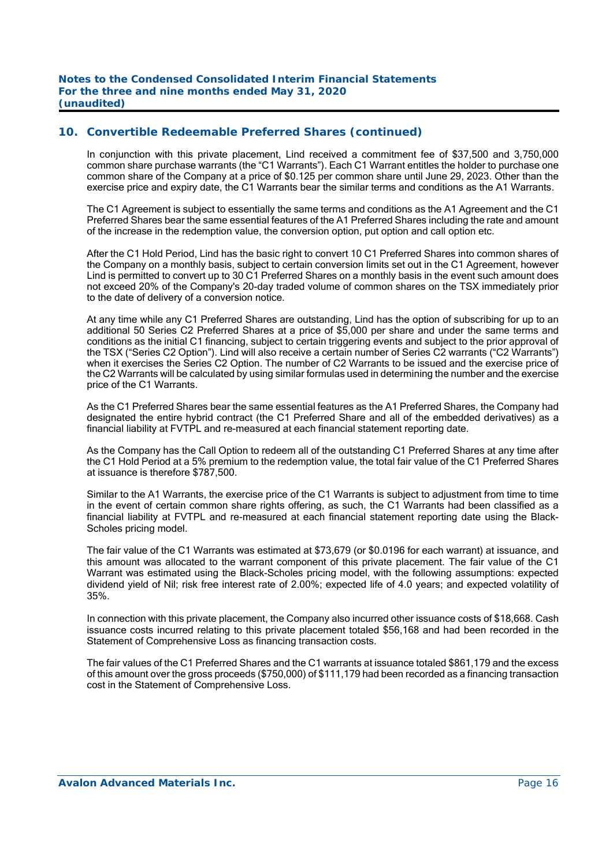In conjunction with this private placement, Lind received a commitment fee of \$37,500 and 3,750,000 common share purchase warrants (the "C1 Warrants"). Each C1 Warrant entitles the holder to purchase one common share of the Company at a price of \$0.125 per common share until June 29, 2023. Other than the exercise price and expiry date, the C1 Warrants bear the similar terms and conditions as the A1 Warrants.

The C1 Agreement is subject to essentially the same terms and conditions as the A1 Agreement and the C1 Preferred Shares bear the same essential features of the A1 Preferred Shares including the rate and amount of the increase in the redemption value, the conversion option, put option and call option etc.

After the C1 Hold Period, Lind has the basic right to convert 10 C1 Preferred Shares into common shares of the Company on a monthly basis, subject to certain conversion limits set out in the C1 Agreement, however Lind is permitted to convert up to 30 C1 Preferred Shares on a monthly basis in the event such amount does not exceed 20% of the Company's 20-day traded volume of common shares on the TSX immediately prior to the date of delivery of a conversion notice.

At any time while any C1 Preferred Shares are outstanding, Lind has the option of subscribing for up to an additional 50 Series C2 Preferred Shares at a price of \$5,000 per share and under the same terms and conditions as the initial C1 financing, subject to certain triggering events and subject to the prior approval of the TSX ("Series C2 Option"). Lind will also receive a certain number of Series C2 warrants ("C2 Warrants") when it exercises the Series C2 Option. The number of C2 Warrants to be issued and the exercise price of the C2 Warrants will be calculated by using similar formulas used in determining the number and the exercise price of the C1 Warrants.

As the C1 Preferred Shares bear the same essential features as the A1 Preferred Shares, the Company had designated the entire hybrid contract (the C1 Preferred Share and all of the embedded derivatives) as a financial liability at FVTPL and re-measured at each financial statement reporting date.

As the Company has the Call Option to redeem all of the outstanding C1 Preferred Shares at any time after the C1 Hold Period at a 5% premium to the redemption value, the total fair value of the C1 Preferred Shares at issuance is therefore \$787,500.

Similar to the A1 Warrants, the exercise price of the C1 Warrants is subject to adjustment from time to time in the event of certain common share rights offering, as such, the C1 Warrants had been classified as a financial liability at FVTPL and re-measured at each financial statement reporting date using the Black-Scholes pricing model.

The fair value of the C1 Warrants was estimated at \$73,679 (or \$0.0196 for each warrant) at issuance, and this amount was allocated to the warrant component of this private placement. The fair value of the C1 Warrant was estimated using the Black-Scholes pricing model, with the following assumptions: expected dividend yield of Nil; risk free interest rate of 2.00%; expected life of 4.0 years; and expected volatility of 35%.

In connection with this private placement, the Company also incurred other issuance costs of \$18,668. Cash issuance costs incurred relating to this private placement totaled \$56,168 and had been recorded in the Statement of Comprehensive Loss as financing transaction costs.

The fair values of the C1 Preferred Shares and the C1 warrants at issuance totaled \$861,179 and the excess of this amount over the gross proceeds (\$750,000) of \$111,179 had been recorded as a financing transaction cost in the Statement of Comprehensive Loss.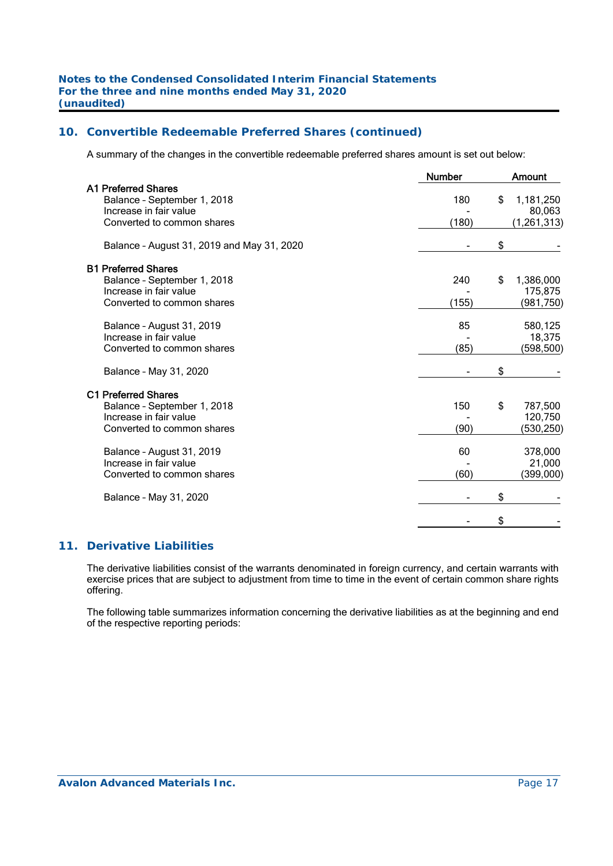A summary of the changes in the convertible redeemable preferred shares amount is set out below:

|                                            | <b>Number</b> | <b>Amount</b>   |
|--------------------------------------------|---------------|-----------------|
| <b>A1 Preferred Shares</b>                 |               |                 |
| Balance - September 1, 2018                | 180           | \$<br>1,181,250 |
| Increase in fair value                     |               | 80,063          |
| Converted to common shares                 | (180)         | (1, 261, 313)   |
| Balance - August 31, 2019 and May 31, 2020 |               | \$              |
| <b>B1 Preferred Shares</b>                 |               |                 |
| Balance - September 1, 2018                | 240           | \$<br>1,386,000 |
| Increase in fair value                     |               | 175,875         |
| Converted to common shares                 | (155)         | (981,750)       |
| Balance - August 31, 2019                  | 85            | 580,125         |
| Increase in fair value                     |               | 18,375          |
| Converted to common shares                 | (85)          | (598, 500)      |
| Balance - May 31, 2020                     |               | \$              |
| <b>C1 Preferred Shares</b>                 |               |                 |
| Balance - September 1, 2018                | 150           | \$<br>787,500   |
| Increase in fair value                     |               | 120,750         |
| Converted to common shares                 | (90)          | (530, 250)      |
| Balance - August 31, 2019                  | 60            | 378,000         |
| Increase in fair value                     |               | 21,000          |
| Converted to common shares                 | (60)          | (399,000)       |
| Balance - May 31, 2020                     |               | \$              |
|                                            |               | \$              |

## **11. Derivative Liabilities**

The derivative liabilities consist of the warrants denominated in foreign currency, and certain warrants with exercise prices that are subject to adjustment from time to time in the event of certain common share rights offering.

The following table summarizes information concerning the derivative liabilities as at the beginning and end of the respective reporting periods: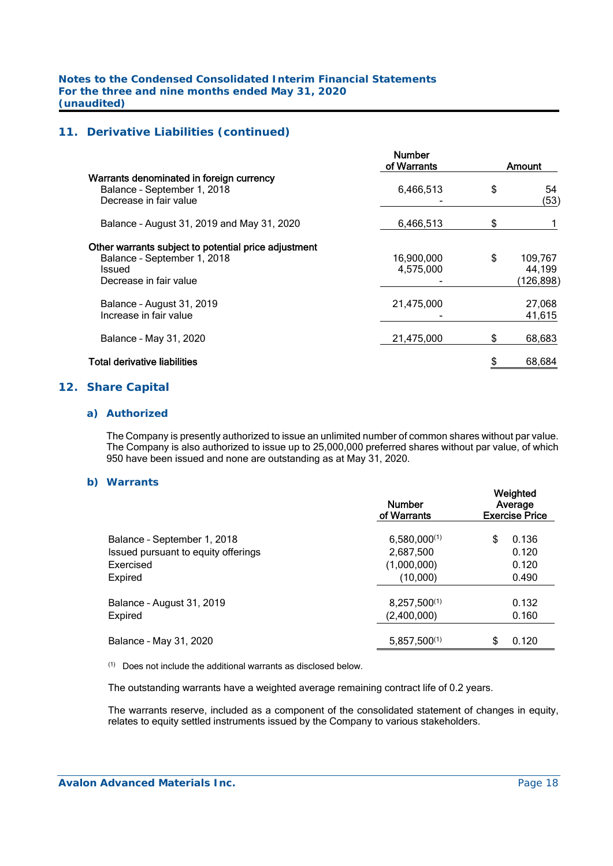## **11. Derivative Liabilities (continued)**

|                                                                                                                         | <b>Number</b><br>of Warrants |    | Amount                          |
|-------------------------------------------------------------------------------------------------------------------------|------------------------------|----|---------------------------------|
| Warrants denominated in foreign currency<br>Balance - September 1, 2018<br>Decrease in fair value                       | 6,466,513                    | \$ | 54<br>(53)                      |
| Balance - August 31, 2019 and May 31, 2020                                                                              | 6,466,513                    | S  |                                 |
| Other warrants subject to potential price adjustment<br>Balance - September 1, 2018<br>Issued<br>Decrease in fair value | 16,900,000<br>4,575,000      | \$ | 109,767<br>44,199<br>(126, 898) |
| Balance - August 31, 2019<br>Increase in fair value                                                                     | 21,475,000                   |    | 27,068<br>41,615                |
| Balance - May 31, 2020                                                                                                  | 21,475,000                   | \$ | 68,683                          |
| Total derivative liabilities                                                                                            |                              |    | 68,684                          |

## **12. Share Capital**

#### *a) Authorized*

 The Company is presently authorized to issue an unlimited number of common shares without par value. The Company is also authorized to issue up to 25,000,000 preferred shares without par value, of which 950 have been issued and none are outstanding as at May 31, 2020.

#### *b) Warrants*

|                                     | <b>Number</b><br>of Warrants | Weighted<br>Average<br><b>Exercise Price</b> |  |  |  |
|-------------------------------------|------------------------------|----------------------------------------------|--|--|--|
| Balance - September 1, 2018         | $6,580,000^{(1)}$            | \$<br>0.136                                  |  |  |  |
| Issued pursuant to equity offerings | 2,687,500                    | 0.120                                        |  |  |  |
| Exercised                           | (1,000,000)                  | 0.120                                        |  |  |  |
| Expired                             | (10,000)                     | 0.490                                        |  |  |  |
| Balance - August 31, 2019           | $8,257,500^{(1)}$            | 0.132                                        |  |  |  |
| Expired                             | (2,400,000)                  | 0.160                                        |  |  |  |
| Balance - May 31, 2020              | $5,857,500^{(1)}$            | 0.120<br>S                                   |  |  |  |
|                                     |                              |                                              |  |  |  |

(1) Does not include the additional warrants as disclosed below.

The outstanding warrants have a weighted average remaining contract life of 0.2 years.

The warrants reserve, included as a component of the consolidated statement of changes in equity, relates to equity settled instruments issued by the Company to various stakeholders.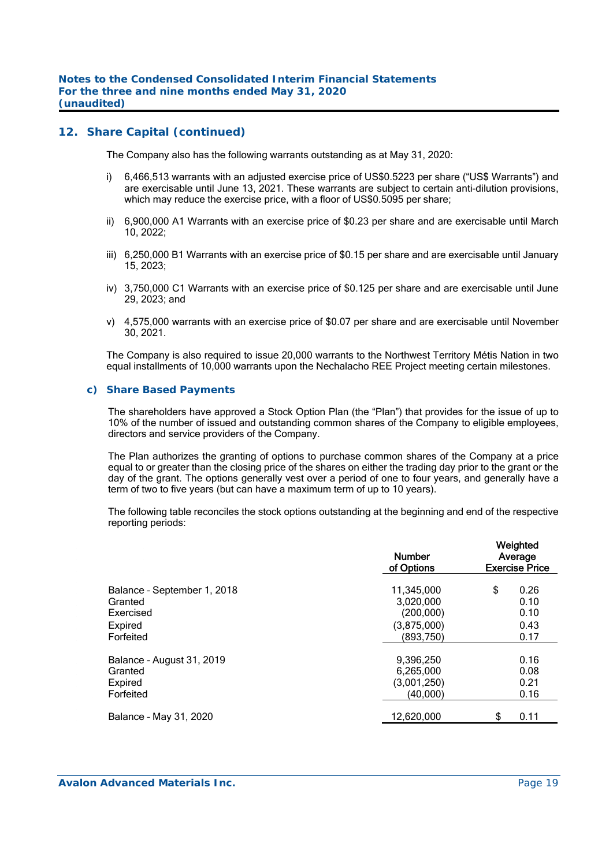## **12. Share Capital (continued)**

The Company also has the following warrants outstanding as at May 31, 2020:

- i) 6,466,513 warrants with an adjusted exercise price of US\$0.5223 per share ("US\$ Warrants") and are exercisable until June 13, 2021. These warrants are subject to certain anti-dilution provisions, which may reduce the exercise price, with a floor of US\$0.5095 per share;
- ii) 6,900,000 A1 Warrants with an exercise price of \$0.23 per share and are exercisable until March 10, 2022;
- iii) 6,250,000 B1 Warrants with an exercise price of \$0.15 per share and are exercisable until January 15, 2023;
- iv) 3,750,000 C1 Warrants with an exercise price of \$0.125 per share and are exercisable until June 29, 2023; and
- v) 4,575,000 warrants with an exercise price of \$0.07 per share and are exercisable until November 30, 2021.

The Company is also required to issue 20,000 warrants to the Northwest Territory Métis Nation in two equal installments of 10,000 warrants upon the Nechalacho REE Project meeting certain milestones.

#### *c) Share Based Payments*

The shareholders have approved a Stock Option Plan (the "Plan") that provides for the issue of up to 10% of the number of issued and outstanding common shares of the Company to eligible employees, directors and service providers of the Company.

The Plan authorizes the granting of options to purchase common shares of the Company at a price equal to or greater than the closing price of the shares on either the trading day prior to the grant or the day of the grant. The options generally vest over a period of one to four years, and generally have a term of two to five years (but can have a maximum term of up to 10 years).

The following table reconciles the stock options outstanding at the beginning and end of the respective reporting periods:

|                             | <b>Number</b><br>of Options | Weighted<br>Average<br><b>Exercise Price</b> |      |  |  |
|-----------------------------|-----------------------------|----------------------------------------------|------|--|--|
| Balance - September 1, 2018 | 11,345,000                  | \$                                           | 0.26 |  |  |
| Granted                     | 3,020,000                   |                                              | 0.10 |  |  |
| Exercised                   | (200,000)                   |                                              | 0.10 |  |  |
| Expired                     | (3,875,000)                 |                                              | 0.43 |  |  |
| Forfeited                   | (893,750)                   |                                              | 0.17 |  |  |
| Balance - August 31, 2019   | 9,396,250                   |                                              | 0.16 |  |  |
| Granted                     | 6,265,000                   |                                              | 0.08 |  |  |
| Expired                     | (3,001,250)                 |                                              | 0.21 |  |  |
| Forfeited                   | (40,000)                    |                                              | 0.16 |  |  |
| Balance - May 31, 2020      | 12,620,000                  | \$                                           | 0.11 |  |  |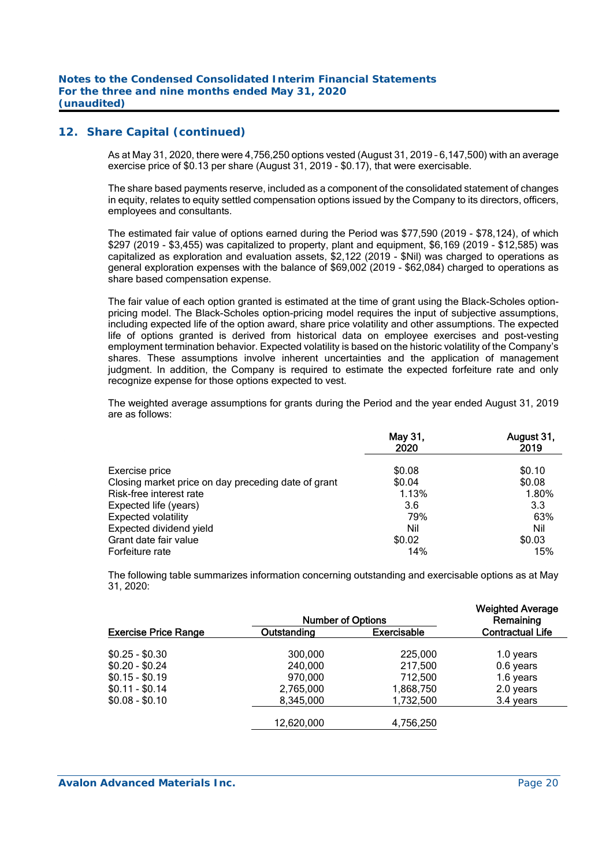## **12. Share Capital (continued)**

As at May 31, 2020, there were 4,756,250 options vested (August 31, 2019 – 6,147,500) with an average exercise price of \$0.13 per share (August 31, 2019 - \$0.17), that were exercisable.

The share based payments reserve, included as a component of the consolidated statement of changes in equity, relates to equity settled compensation options issued by the Company to its directors, officers, employees and consultants.

The estimated fair value of options earned during the Period was \$77,590 (2019 - \$78,124), of which \$297 (2019 - \$3,455) was capitalized to property, plant and equipment, \$6,169 (2019 - \$12,585) was capitalized as exploration and evaluation assets, \$2,122 (2019 - \$Nil) was charged to operations as general exploration expenses with the balance of \$69,002 (2019 - \$62,084) charged to operations as share based compensation expense.

The fair value of each option granted is estimated at the time of grant using the Black-Scholes optionpricing model. The Black-Scholes option-pricing model requires the input of subjective assumptions, including expected life of the option award, share price volatility and other assumptions. The expected life of options granted is derived from historical data on employee exercises and post-vesting employment termination behavior. Expected volatility is based on the historic volatility of the Company's shares. These assumptions involve inherent uncertainties and the application of management judgment. In addition, the Company is required to estimate the expected forfeiture rate and only recognize expense for those options expected to vest.

The weighted average assumptions for grants during the Period and the year ended August 31, 2019 are as follows:

|                                                     | May 31,<br>2020 | August 31,<br>2019 |
|-----------------------------------------------------|-----------------|--------------------|
| Exercise price                                      | \$0.08          | \$0.10             |
| Closing market price on day preceding date of grant | \$0.04          | \$0.08             |
| Risk-free interest rate                             | 1.13%           | 1.80%              |
| Expected life (years)                               | 3.6             | 3.3                |
| <b>Expected volatility</b>                          | 79%             | 63%                |
| Expected dividend yield                             | Nil             | Nil                |
| Grant date fair value                               | \$0.02          | \$0.03             |
| Forfeiture rate                                     | 14%             | 15%                |

The following table summarizes information concerning outstanding and exercisable options as at May 31, 2020:

|                             | <b>Weighted Average</b><br>Remaining |             |                         |
|-----------------------------|--------------------------------------|-------------|-------------------------|
| <b>Exercise Price Range</b> | Outstanding                          | Exercisable | <b>Contractual Life</b> |
| $$0.25 - $0.30$             | 300,000                              | 225,000     | 1.0 years               |
| $$0.20 - $0.24$             | 240,000                              | 217,500     | 0.6 years               |
| $$0.15 - $0.19$             | 970,000                              | 712,500     | 1.6 years               |
| $$0.11 - $0.14$             | 2,765,000                            | 1,868,750   | 2.0 years               |
| $$0.08 - $0.10$             | 8,345,000                            | 1,732,500   | 3.4 years               |
|                             | 12,620,000                           | 4,756,250   |                         |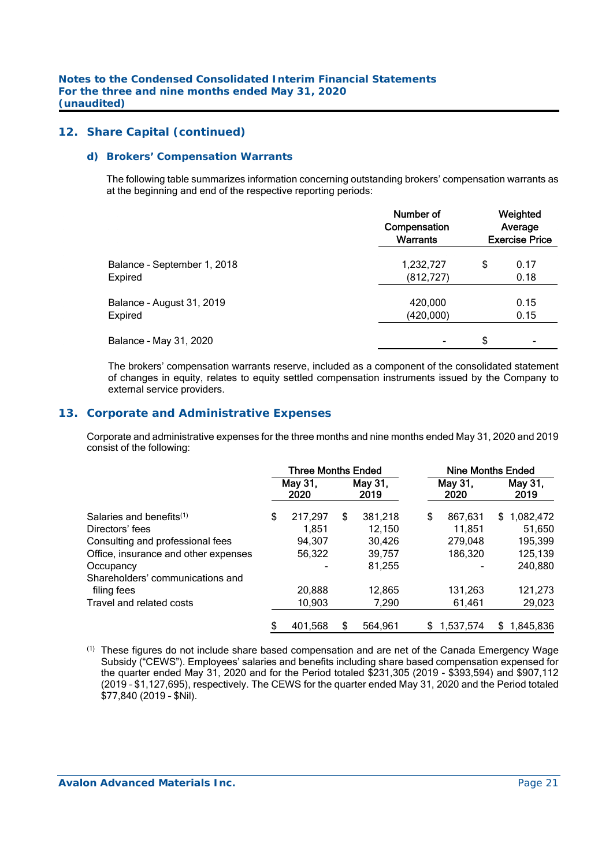## **12. Share Capital (continued)**

#### *d) Brokers' Compensation Warrants*

The following table summarizes information concerning outstanding brokers' compensation warrants as at the beginning and end of the respective reporting periods:

|                             | Number of<br>Compensation<br>Warrants | Weighted<br>Average<br><b>Exercise Price</b> |      |  |  |
|-----------------------------|---------------------------------------|----------------------------------------------|------|--|--|
| Balance - September 1, 2018 | 1,232,727                             | \$                                           | 0.17 |  |  |
| Expired                     | (812, 727)                            |                                              | 0.18 |  |  |
| Balance - August 31, 2019   | 420,000                               |                                              | 0.15 |  |  |
| Expired                     | (420,000)                             |                                              | 0.15 |  |  |
| Balance - May 31, 2020      | -                                     | \$                                           |      |  |  |

The brokers' compensation warrants reserve, included as a component of the consolidated statement of changes in equity, relates to equity settled compensation instruments issued by the Company to external service providers.

#### **13. Corporate and Administrative Expenses**

 Corporate and administrative expenses for the three months and nine months ended May 31, 2020 and 2019 consist of the following:

|                                      | <b>Three Months Ended</b> |                 |   |                 |    | <b>Nine Months Ended</b> |     |                 |  |
|--------------------------------------|---------------------------|-----------------|---|-----------------|----|--------------------------|-----|-----------------|--|
|                                      |                           | May 31,<br>2020 |   | May 31,<br>2019 |    | May 31,<br>2020          |     | May 31,<br>2019 |  |
| Salaries and benefits $^{(1)}$       | \$                        | 217,297         | S | 381,218         | \$ | 867,631                  | \$. | 1,082,472       |  |
| Directors' fees                      |                           | 1.851           |   | 12.150          |    | 11.851                   |     | 51.650          |  |
| Consulting and professional fees     |                           | 94.307          |   | 30.426          |    | 279,048                  |     | 195,399         |  |
| Office, insurance and other expenses |                           | 56,322          |   | 39.757          |    | 186,320                  |     | 125,139         |  |
| Occupancy                            |                           |                 |   | 81,255          |    |                          |     | 240,880         |  |
| Shareholders' communications and     |                           |                 |   |                 |    |                          |     |                 |  |
| filing fees                          |                           | 20,888          |   | 12,865          |    | 131,263                  |     | 121,273         |  |
| Travel and related costs             |                           | 10,903          |   | 7,290           |    | 61,461                   |     | 29,023          |  |
|                                      | S                         | 401.568         | S | 564.961         | S  | 1.537.574                |     | \$1,845,836     |  |

(1) These figures do not include share based compensation and are net of the Canada Emergency Wage Subsidy ("CEWS"). Employees' salaries and benefits including share based compensation expensed for the quarter ended May 31, 2020 and for the Period totaled \$231,305 (2019 - \$393,594) and \$907,112 (2019 – \$1,127,695), respectively. The CEWS for the quarter ended May 31, 2020 and the Period totaled \$77,840 (2019 – \$Nil).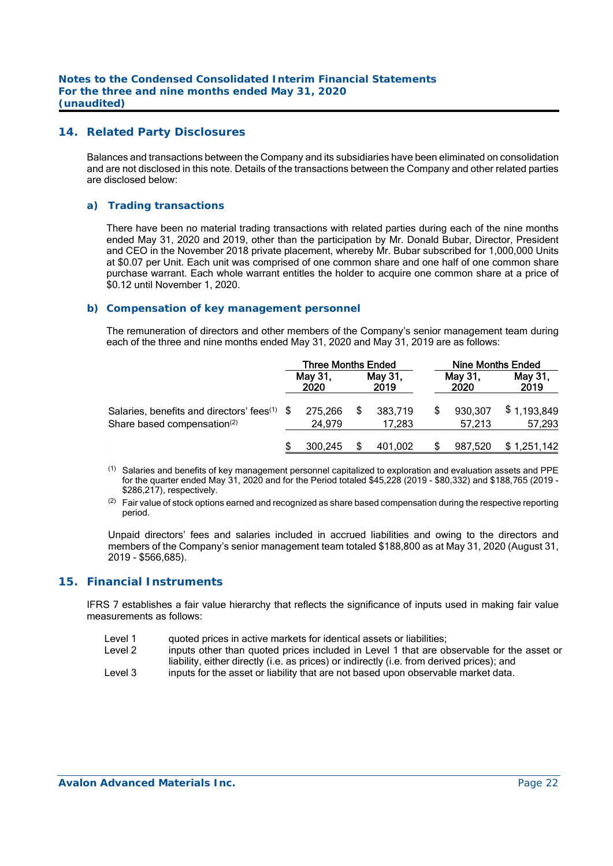#### **14. Related Party Disclosures**

Balances and transactions between the Company and its subsidiaries have been eliminated on consolidation and are not disclosed in this note. Details of the transactions between the Company and other related parties are disclosed below:

#### *a) Trading transactions*

 There have been no material trading transactions with related parties during each of the nine months ended May 31, 2020 and 2019, other than the participation by Mr. Donald Bubar, Director, President and CEO in the November 2018 private placement, whereby Mr. Bubar subscribed for 1,000,000 Units at \$0.07 per Unit. Each unit was comprised of one common share and one half of one common share purchase warrant. Each whole warrant entitles the holder to acquire one common share at a price of \$0.12 until November 1, 2020.

#### *b) Compensation of key management personnel*

 The remuneration of directors and other members of the Company's senior management team during each of the three and nine months ended May 31, 2020 and May 31, 2019 are as follows:

|                                                                                            | <b>Three Months Ended</b> |                   |  |                   | <b>Nine Months Ended</b> |                   |                       |  |
|--------------------------------------------------------------------------------------------|---------------------------|-------------------|--|-------------------|--------------------------|-------------------|-----------------------|--|
|                                                                                            |                           | May 31,<br>2020   |  | May 31,<br>2019   |                          | May 31.<br>2020   | May 31,<br>2019       |  |
| Salaries, benefits and directors' fees $(1)$ \$<br>Share based compensation <sup>(2)</sup> |                           | 275,266<br>24.979 |  | 383,719<br>17.283 |                          | 930,307<br>57.213 | \$1,193,849<br>57,293 |  |
|                                                                                            |                           | 300.245           |  | 401.002           |                          | 987,520           | \$1,251,142           |  |

- (1) Salaries and benefits of key management personnel capitalized to exploration and evaluation assets and PPE for the quarter ended May 31, 2020 and for the Period totaled \$45,228 (2019 - \$80,332) and \$188,765 (2019 - \$286,217), respectively.
- $(2)$  Fair value of stock options earned and recognized as share based compensation during the respective reporting period.

Unpaid directors' fees and salaries included in accrued liabilities and owing to the directors and members of the Company's senior management team totaled \$188,800 as at May 31, 2020 (August 31, 2019 - \$566,685).

#### **15. Financial Instruments**

IFRS 7 establishes a fair value hierarchy that reflects the significance of inputs used in making fair value measurements as follows:

- Level 1 guoted prices in active markets for identical assets or liabilities;
- Level 2 inputs other than quoted prices included in Level 1 that are observable for the asset or liability, either directly (i.e. as prices) or indirectly (i.e. from derived prices); and
- Level 3 inputs for the asset or liability that are not based upon observable market data.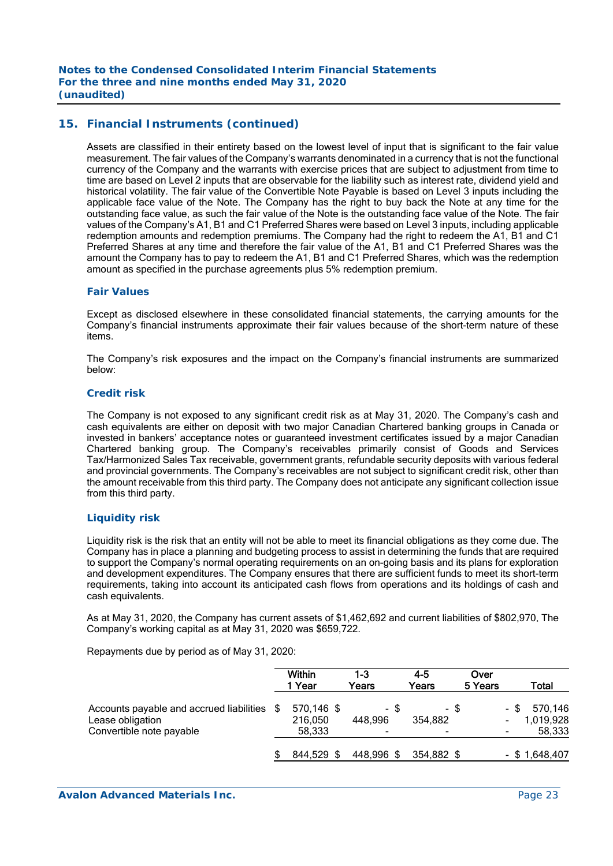## **15. Financial Instruments (continued)**

Assets are classified in their entirety based on the lowest level of input that is significant to the fair value measurement. The fair values of the Company's warrants denominated in a currency that is not the functional currency of the Company and the warrants with exercise prices that are subject to adjustment from time to time are based on Level 2 inputs that are observable for the liability such as interest rate, dividend yield and historical volatility. The fair value of the Convertible Note Payable is based on Level 3 inputs including the applicable face value of the Note. The Company has the right to buy back the Note at any time for the outstanding face value, as such the fair value of the Note is the outstanding face value of the Note. The fair values of the Company's A1, B1 and C1 Preferred Shares were based on Level 3 inputs, including applicable redemption amounts and redemption premiums. The Company had the right to redeem the A1, B1 and C1 Preferred Shares at any time and therefore the fair value of the A1, B1 and C1 Preferred Shares was the amount the Company has to pay to redeem the A1, B1 and C1 Preferred Shares, which was the redemption amount as specified in the purchase agreements plus 5% redemption premium.

#### *Fair Values*

Except as disclosed elsewhere in these consolidated financial statements, the carrying amounts for the Company's financial instruments approximate their fair values because of the short-term nature of these items.

The Company's risk exposures and the impact on the Company's financial instruments are summarized below:

#### *Credit risk*

The Company is not exposed to any significant credit risk as at May 31, 2020. The Company's cash and cash equivalents are either on deposit with two major Canadian Chartered banking groups in Canada or invested in bankers' acceptance notes or guaranteed investment certificates issued by a major Canadian Chartered banking group. The Company's receivables primarily consist of Goods and Services Tax/Harmonized Sales Tax receivable, government grants, refundable security deposits with various federal and provincial governments. The Company's receivables are not subject to significant credit risk, other than the amount receivable from this third party. The Company does not anticipate any significant collection issue from this third party.

#### *Liquidity risk*

Liquidity risk is the risk that an entity will not be able to meet its financial obligations as they come due. The Company has in place a planning and budgeting process to assist in determining the funds that are required to support the Company's normal operating requirements on an on-going basis and its plans for exploration and development expenditures. The Company ensures that there are sufficient funds to meet its short-term requirements, taking into account its anticipated cash flows from operations and its holdings of cash and cash equivalents.

As at May 31, 2020, the Company has current assets of \$1,462,692 and current liabilities of \$802,970. The Company's working capital as at May 31, 2020 was \$659,722.

Repayments due by period as of May 31, 2020:

|                                                                                          |      | Within<br>1 Year                | 1-3<br>Years         | $4 - 5$<br>Years     | Over<br>5 Years |      | Total                          |
|------------------------------------------------------------------------------------------|------|---------------------------------|----------------------|----------------------|-----------------|------|--------------------------------|
| Accounts payable and accrued liabilities<br>Lease obligation<br>Convertible note payable | - \$ | 570,146 \$<br>216,050<br>58,333 | - \$<br>448.996<br>۰ | - \$<br>354.882<br>٠ |                 | - \$ | 570,146<br>1,019,928<br>58,333 |
|                                                                                          |      | 844,529 \$                      | 448,996 \$           | 354,882 \$           |                 |      | $-$ \$ 1,648,407               |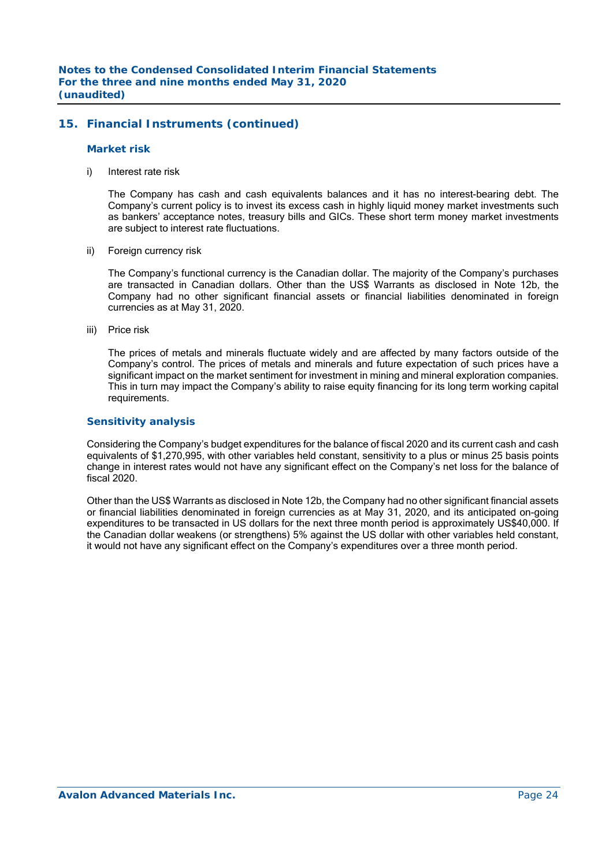## **15. Financial Instruments (continued)**

#### *Market risk*

i) Interest rate risk

 The Company has cash and cash equivalents balances and it has no interest-bearing debt. The Company's current policy is to invest its excess cash in highly liquid money market investments such as bankers' acceptance notes, treasury bills and GICs. These short term money market investments are subject to interest rate fluctuations.

ii) Foreign currency risk

 The Company's functional currency is the Canadian dollar. The majority of the Company's purchases are transacted in Canadian dollars. Other than the US\$ Warrants as disclosed in Note 12b, the Company had no other significant financial assets or financial liabilities denominated in foreign currencies as at May 31, 2020.

iii) Price risk

 The prices of metals and minerals fluctuate widely and are affected by many factors outside of the Company's control. The prices of metals and minerals and future expectation of such prices have a significant impact on the market sentiment for investment in mining and mineral exploration companies. This in turn may impact the Company's ability to raise equity financing for its long term working capital requirements.

#### *Sensitivity analysis*

 Considering the Company's budget expenditures for the balance of fiscal 2020 and its current cash and cash equivalents of \$1,270,995, with other variables held constant, sensitivity to a plus or minus 25 basis points change in interest rates would not have any significant effect on the Company's net loss for the balance of fiscal 2020.

 Other than the US\$ Warrants as disclosed in Note 12b, the Company had no other significant financial assets or financial liabilities denominated in foreign currencies as at May 31, 2020, and its anticipated on-going expenditures to be transacted in US dollars for the next three month period is approximately US\$40,000. If the Canadian dollar weakens (or strengthens) 5% against the US dollar with other variables held constant, it would not have any significant effect on the Company's expenditures over a three month period.